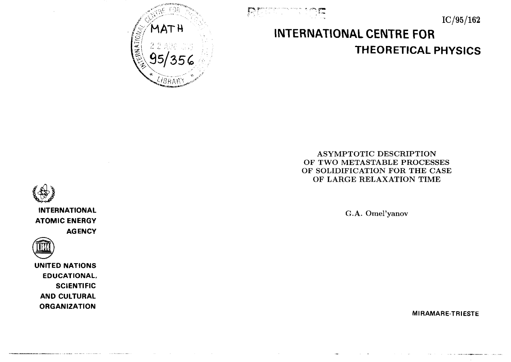



 $IC/95/162$ 

# **INTERNATIONAL CENTRE FOR THEORETICAL PHYSICS**

ASYMPTOTIC DESCRIPTION OF TWO METASTABLE PROCESSES OF SOLIDIFICATION FOR THE CASE OF LARGE RELAXATION TIME

G.A. Omel'yanov

**MIRAMARE-TRIESTE**



**INTERNATIONAL ATOMIC ENERGY AGENCY**



**UNITED NATIONS EDUCATIONAL, SCIENTIFIC AND CULTURAL ORGANIZATION**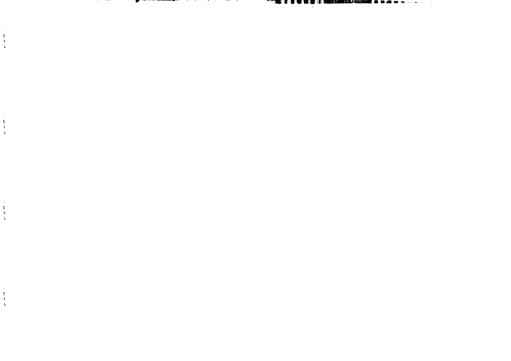i - m www.ill. no. www.ill. no. www.ill. no. www.ill. no. www.ill. no. www.ill. no. www.ill. no. www.ill. no. w<br>B and the second contract of the second contract of the second contract of the second contract of the second c

 $\begin{array}{c} \mathbf{1} \\ \mathbf{1} \\ \mathbf{1} \\ \mathbf{1} \end{array}$ 

 $\begin{array}{c} \gamma \\ \chi \\ \chi \\ \downarrow \end{array}$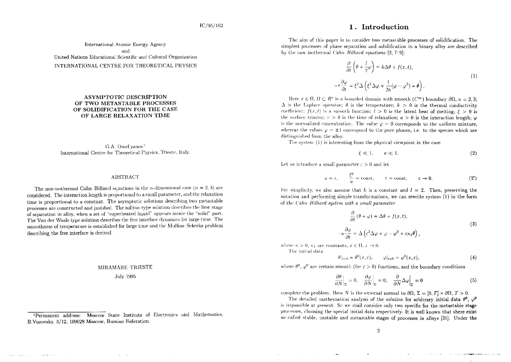#### IC/95/1C2

## 1. Introduction

International Atomic Energy Agency and United Nations Educational Scientific and Cultural Organization INTERNATIONAL CENTRE FOR THEORETICAL PHYSICS

#### **ASYMPTOTIC DESCRIPTION OF TWO METASTABLE PROCESSES OF SOLIDIFICATION FOR THE** CASE **OF LARGE RELAXATION TIME**

 $G.A.$  Omel'vanov<sup>1</sup> Internationa) Centre for Theoretical Physics, Trieste, Italy.

#### ABSTRACT

The non-isothermal Cahn-Hilliard equations in the *n*-dimensional case  $(n = 2, 3)$  are considered, The interaction length is proportional to a small parameter, and the relaxation time is proportional to a constant, The asymptotic solutions describing two metastable processes are constructed and justified. The soliton type solution describes the first stage of separation in alloy, when a set of "superheated liquid" appears inside the "solid" part. The Van der Waals type solution describes the free interface dynamics for large time. The smoothness of temperature is established for large time and the Mullins- Sekerka problem describing the free interface is derived.

## MIRAMARE-TRIESTE July 1995

**Service** 

consumer and

The aim of this paper is to consider two metasiable processes of solidification. The simplest processes of phase separation and solidification in a binary alloy are described by the non isothermal *Calm-Milliard equations* (2, 7-9]:

$$
\frac{\partial}{\partial t} \left( \theta + \frac{l}{2} \varphi \right) = k \Delta \theta + f(x, t),
$$
\n
$$
-\tau \frac{\partial \varphi}{\partial t} = \xi^2 \Delta \left( \xi^2 \Delta \varphi + \frac{1}{2a} (\varphi - \varphi^3) + \theta \right).
$$
\n(1)

Here  $x \in \Omega$ ,  $\Omega \subset R^n$  is a bounded domain with smooth  $(C^{\infty})$  boundary  $\partial\Omega$ ,  $n = 2,3$ ;  $\Delta$  is the Laplace operator;  $\theta$  is the temperature;  $k > 0$  is the thermal conductivity coefficient;  $f(x,t)$  is a smooth function;  $t > 0$  is the latent heat of melting;  $\xi > 0$  is the surface tension;  $\tau > 0$  is the time of relaxation;  $a > 0$  is the interaction length;  $\varphi$ is the normalized concentration. The value  $\varphi = 0$  corresponds to the uniform mixture, whereas the values  $\varphi = \pm 1$  correspond to the pure phases, i.e. to the species which are distinguished from the alloy.

The system (1) is interesting from the physical viewpoint in the case

$$
\xi \ll 1, \qquad a \ll 1. \tag{2}
$$

Let us introduce a small parameter  $\varepsilon > 0$  and let

$$
a = \varepsilon, \qquad \frac{\xi^2}{a} = \text{const}, \qquad t = \text{const}, \qquad \varepsilon \to 0.
$$
 (2')

For simplicity, we also assume that  $k$  is a constant and  $l = 2$ . Then, preserving the notation and performing simple transformations, we can rewrite system (1) in the form of the *Vakii-Milliard system with 0 small parameter*

$$
\frac{\partial}{\partial t}(\theta + \varphi) = \Delta \theta + f(x, t),
$$
\n
$$
-\kappa \frac{\partial \varphi}{\partial t} = \Delta \left(\varepsilon^2 \Delta \varphi + \varphi - \varphi^3 + \varepsilon \kappa_1 \theta\right),
$$
\n(3)

where  $\kappa > 0$ ,  $\kappa_1$  are constants,  $x \in \Omega$ ,  $\varepsilon \to 0$ ,

The initial data

$$
\theta|_{t=0} = \theta^0(x,\varepsilon), \qquad \varphi|_{t=0} = \varphi^0(x,\varepsilon), \tag{4}
$$

where  $\theta^0$ ,  $\varphi^0$  are certain smooth (for  $\varepsilon > 0$ ) functions, and the boundary conditions

$$
\frac{\partial \theta}{\partial N}\Big|_{\Sigma} = 0, \quad \frac{\partial \varphi}{\partial N}\Big|_{\Sigma} = 0, \quad \frac{\partial}{\partial N}\Delta \varphi\Big|_{\Sigma} = 0 \tag{5}
$$

من المستحدة المستحدة المستحدة التي تعالى التي تعالى التي تعالى المستحدة التي تعالى التي تعالى التي ت

complete the problem. Here *N* is the external normal to  $\partial \Omega$ ,  $\Sigma = [0, T] \times \partial \Omega$ ,  $T > 0$ .

The detailed mathematical analysis of the solution for arbitrary initial data  $\theta^0$ ,  $\varphi^0$ is impossible at present. Sc we shall consider only two specific for the metastable stage processes, choosing the special initial data respectively. It is well known that there exist so-called stable, unstable and melastable stages of processes in alloys [31]. Under the

**Contract Service** 

<sup>&#</sup>x27;Permanent address: Moscow State Institute of Electronics and Mathematics, B.Vuzovsky, 3/12, 109028 Moscow, Russian Federation.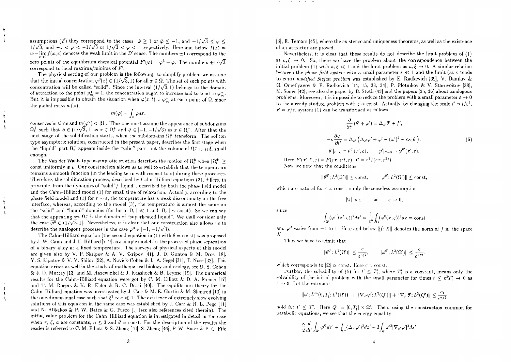assumptions (2') they correspond to the cases:  $\tilde{\varphi} \ge 1$  or  $\bar{\varphi} \le -1$ , and  $-1/\sqrt{3} < \bar{\varphi} <$  $1/\sqrt{3}$ , and  $-1 < \bar{\varphi} < -1/\sqrt{3}$  or  $1/\sqrt{3} < \bar{\varphi} < 1$  respectively. Here and below  $\bar{f}(x) =$  $w$  – lim  $f(x, \varepsilon)$  denotes the weak limit in the  $\mathcal D'$  sense. The numbers  $\pm 1$  correspond to the zero points of the equilibrium chemical potential  $F'(\varphi) = \varphi^3 - \varphi$ . The numbers  $\pm 1/\sqrt{3}$ correspond to local maxima/minima of *F'.*

Ť  $\chi$  $\mathbf{A}$ 

 $\frac{1}{\sqrt{2}}$ 

 $\frac{1}{4}$  $\frac{1}{4}$ 

The physical setting of our problem is the following: to simplify problem we assume that the initial concentration  $\varphi^{0}(x) \in (1/\sqrt{3},1)$  for all  $x \in \Omega$ . The set of such points with concentration will be called "solid". Since the interval  $(1/\sqrt{3},1)$  belongs to the domain of attraction to the point  $\varphi_{\epsilon q}^+ = 1$ , the concentration ought to increase and to tend to  $\varphi_{\epsilon q}^+$ . But it is impossible to obtain the situation when  $\varphi(x,t) = \varphi_{\text{eq}}^+$  at each point of  $\Omega$ , since the global mass  $m(\varphi)$ ,

$$
m(\varphi)=\int_{\Omega}\varphi dx
$$

conserves in time and  $m(\varphi^0) < |\Omega|$ . Thus one must assume the appearance of subdomains *U*<sup> $\uparrow$ </sup> such that  $\bar{\varphi} \in (1/\sqrt{3}, 1]$  as  $x \in \Omega$ <sup>+</sup> and  $\bar{\varphi} \in [-1, -1/\sqrt{3}]$  as  $x \in \Omega$ <sup>-</sup>. After that the next stage of the solidification starts, when the subdomains  $\Omega_t^{\pm}$  transform. The soliton type asymptotic solution, constructed in the present paper, describes the first stage when the "liquid" part  $\Omega_r^+$  appears inside the "solid" part, but the volume of  $\Omega_r^-$  is still small enough.

The Van der Waals type asymptotic solution describes the motion of  $\Omega_t^{\pm}$  when  $|\Omega_t^{\pm}|$  > const uniformly in  $\varepsilon$ . Our construction allows us as well to establish that the temperature remains a smooth function (in the leading term with respect to  $\varepsilon$ ) during these processes. Therefore, the solidification process, described by Cahn-Hilliard equations (3), differs, in principle, from the dynamics of "solid"/"liquid", described by both the phase field model and the Cahn-Hilliard model (1) for small time of relaxation. Actually, according to the phase field model and (1) for  $\tau \sim \varepsilon$ , the temperature has a weak discontinuity on the free interface, whereas, according to the model (3). the temperature is almost the same on the "solid" and "liquid" domains (for both  $|\Omega_t^+| \ll 1$  and  $|\Omega_t^-| \sim$  const). So we can say that the appearing set  $\Omega_r^-$  is the domain of "superheated liquid". We shall consider only the case  $\overline{\varphi^0} \in (1/\sqrt{3},1]$ . Nevertheless, it is clear that our construction also allows us to describe the analogous processes in the case  $\overline{\varphi^0} \in \{-1, -1/\sqrt{3}\}.$ 

The Cahn-Hilliard equation (the second equation in (1) with  $\theta = \text{const}$ ) was proposed by J. W. Cahn and J. E. Milliard [7-9] as a simple model for the process of phase separation of a binary alloy at a fixed temperature. The surveys of physical aspects of this model are given also by V. P. Skripov *k* A. V. Skripov [41], J. D. Gunton *k* M. Droz [18], Y. S. Lipatov *k* V. V. Shilov [22], A. Novick-Cohen *k* L. A. Segel [31], T. Nose [32]. This equation arises as well in the study of mathematical biology and ecology, see U. S. Cohen *k* J. 0. Murray [13] and M. Hazewinkel & J. Kaashoek *k* B. Leynse [19]. The numerical results for the Cahn-Hilliard equation were got by C. M. Elliott *k* D. A. French [17] and T. M. Rogers *k* K. R. Elder *k* R. C. Desai [40]- The equilibrium theory for the Cahn-Hilliard equation was investigated by ,J. Carr *k* M. E. Gurtin *k.* M. Slemrod [10] in the one-dimensional case such that  $\bar{\ell}^2 \sim a \ll 1$ . The existence of extremely slow evolving solutions of this equation in the same case was established by J. Carr & R. L. Pego  $[11]$ and N. Alikakos *&i* P. W. Bates *k, G.* Fusco [1] (see also references cited therein). The initial value problem for the Cahn-Hilliard equation is investigated in detail in the case when  $\tau$ ,  $\xi$ , a are constants,  $n \leq 3$  and  $\theta = \text{const.}$  For the description of the results the reader is referred to C. M. Elliott *k* S. Zheng [16], S. Zheng [46], P. W. Bates *k* P. C. Fife  $[3]$ , R. Temam  $[45]$ , where the existence and uniqueness theorems, as well as the existence of an attractor are proved.

Nevertheless, it is clear that these results do not describe the limit problem of (1) as  $a, \ell \rightarrow 0$ . So, there we have the problem about the correspondence between the initial problem (1) with  $a, \ell \ll 1$  and the limit problem as  $a, \ell \rightarrow 0$ . A similar relation between the *phase field system* with a small parameter  $\epsilon \ll 1$  and the limit (as  $\varepsilon$  tends to zero) *modified Stefan problem* was established by E. Radkevich [39], V. Danilov & G. Omel'yanov *k* E. Radkevich [H, 15, 33, 31], P. Plotnikov *k* V. Starovoitov [38], M. Soner [42], sec also the paper by B. Stoth [43] and the papers [35, 36] about analogous problems. Moreover, it is impossible to reduce the problem with a small parameter  $\varepsilon \to 0$ to the already studied problem with  $\varepsilon = \text{const.}$  Actually, by changing the scale  $t' = t/\varepsilon^2$ ,  $x' = x/\varepsilon$ , system (1) can be transformed as follows

$$
\frac{\partial}{\partial t'}(\theta' + \varphi') = \Delta_{x'}\theta' + f',
$$
  

$$
-\kappa \frac{\partial \varphi'}{\partial t'} = \Delta_{x'} \left(\Delta_{x'}\varphi' + \varphi' - (\varphi')^3 + \varepsilon \kappa_1 \theta'\right),
$$
  

$$
\theta'|_{t'=0} = \theta^{0'}(x', \varepsilon), \qquad \varphi'|_{t'=0} = \varphi^{0'}(x', \varepsilon).
$$
 (6)

Here  $F'(x', t', \varepsilon) = F(\varepsilon x, \varepsilon^2 t, \varepsilon), f' = \varepsilon^2 f(\varepsilon x, \varepsilon^2 t).$ Now we note that the conditions

$$
\|\theta^{0'}; L^2(\Omega')\| \le \text{const}, \qquad \|\varphi^{0'}; L^2(\Omega')\| \le \text{const},
$$

which are natural for  $\varepsilon = \text{const}$ , imply the senseless assumption

$$
|\Omega| \propto \varepsilon^n \quad \text{as} \quad \varepsilon \to 0,
$$

since

 $\alpha$  , and  $\alpha$  , and  $\alpha$  , and  $\alpha$  , and  $\alpha$  , and  $\alpha$ 

$$
\int_{\Omega} (\varphi^{0'}(x',\varepsilon))^2 dx' = \frac{1}{\varepsilon^n} \int_{\Omega} (\varphi^0(x,\varepsilon))^2 dx = \mathrm{const}
$$

and  $\varphi^0$  varies from  $-1$  to 1. Here and below  $||f; X||$  denotes the norm of f in the space A'.

Thus we have to admit that

$$
\|\theta^{0'}; L^2(\Omega')\| \le \frac{c}{\varepsilon^{n/2}}, \qquad \|\varphi^{0'}; L^2(\Omega')\| \le \frac{c}{\varepsilon^{n/2}}.
$$

which corresponds to  $|\Omega| \propto$  const. Here  $c = \text{const.}$ 

Further, the solvability of (6) for  $t' \leq T_1'$ , where  $T_1'$  is a constant, means only the solvability of the initial problem with the small parameter for times  $t \leq \varepsilon^2 T'_{\epsilon} \to 0$  as  $\varepsilon \to 0$ . Let the estimate

$$
\|\varphi';L^{\infty}(0,T'_1;L^2(\Omega'))\|+\|\nabla_{x'}\varphi';L^2(Q')\|+\|\nabla_{x'}\theta';L^2(Q')\|\leq \frac{c_1}{\varepsilon^{\eta/2}}
$$

hold for  $t' \leq T'$ . Here  $Q' = [0, T'] \times \Omega'$ . Then, using the construction common for parabolic equations, we see that the energy equality

$$
\frac{\kappa}{2}\frac{d}{dt'}\int_{\Omega'}\varphi'^2dx'+\int_{\Omega'}(\Delta_{x'}\varphi')^2dx'+3\int_{\Omega'}\varphi'^2|\nabla_{x'}\varphi'|^2dx'
$$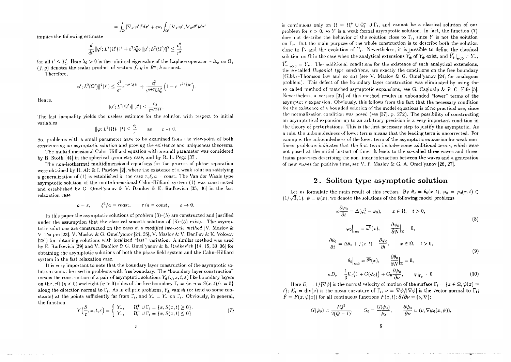$$
=\int_{\Omega'}|\nabla_{x'}\varphi'|^2dx'+\varepsilon\kappa_1\int_{\Omega'}(\nabla_{x'}\varphi',\nabla_{x'}\theta')dx'
$$

implies the following estimate

$$
\frac{d}{dt'}\|\varphi';L^2(\Omega')\|^2+\varepsilon^2\lambda_0^2b\,\|\varphi';L^2(\Omega')\|^2\leq \frac{c_1^2}{\varepsilon^n}
$$

for all  $t' \leq T'_1$ . Here  $\lambda_0 > 0$  is the minimal eigenvalue of the Laplace operator  $-\Delta_x$  on  $\Omega$ ; (*f*, *g*) denotes the scalar product of vectors  $\hat{f}$ , *g* in  $R^n$ ;  $b = \text{const.}$ 

Therefore,

$$
\|\varphi'; L^2(\Omega')\|^2(t') \leq \frac{c^2}{\varepsilon^n} e^{-\varepsilon^2 \lambda_0^2 bt'} + \frac{c_1^2}{\varepsilon^{n+2} b \lambda_0^2} \left(1 - e^{-\varepsilon^2 \lambda_0^2 bt'}\right)
$$

Hence,

$$
\|\varphi';L^2(\Omega')\|(t')\leq \frac{c_2}{\varepsilon^{n/2+1}}.
$$

The last inequality yields the useless estimate for the solution with respect to initial variables

$$
|\varphi;L^2(\Omega)|\mathclose|\,(t)\leq \frac{c_2}{\varepsilon}\qquad\text{as}\qquad\varepsilon\to 0.
$$

So, problems with a small parameter have to be examined from the viewpoint of both constructing an asymptotic solution and proving the existence and uniqueness theorems.

The multidimensional Cahn Hilliard equation with a small parameter was considered by B. Stoth [44] in the spherical symmetry case, and by R. L. Pego [37].

The non-isothermal multidimensional equations for the process of phase separation were obtained by H. Alt & I. Pawlow [2], where the existence of a weak solution satisfying a generalization of (1) is established in the case  $r, \xi, a = \text{const.}$  The Van der Waals type asymptotic solution of the multidimensional Cahn-Hilliard system (1) was constructed and established by G. Omel'yanov & V. Danilov & E. Radkevich [35, 36] in the fast relaxation case

$$
a = \varepsilon
$$
,  $\xi^2/a = \text{const}$ ,  $\tau/a = \text{const}$ ,  $\varepsilon \to 0$ .

In this paper the asymptotic solutions of problem  $(3)-(5)$  are constructed and justified under the assumption that the classical smooth solution of  $(3)-(5)$  exists. The asymptotic solutions are constructed on the basis of a *modified two-scale method* (V. Maslov *&.* V. Tsupin [23], V. Maslov *k* G. Omel'yanov [24, 25], V. Maslov *k* V. Danilov *&* K. Volosov [28]) for obtaining solutions with localized "fast" variation. A similar method was used by E. Radkevich [39] and V. Danilov & G. Omel'yanov & E. Radkevich [14, 15, 33 36] for obtaining the asymptotic solutions of both the phase field system and the Cahn-Hilliard system in the fast relaxation case.

It is very important to note that the boundary layer construction of the asymptotic solution cannot be used in problems with free boundary. The "boundary layer construction" means the construction of a pair of asymptotic solutions  $Y_{\pm}(\eta, x, t, \varepsilon)$  like boundary layers on the left  $(\eta < 0)$  and right  $(\eta > 0)$  sides of the free boundary  $\Gamma_t = \{x, \eta = S(x, t) / \varepsilon = 0\}$ along the direction normal to  $\Gamma_t$ . As in elliptic problems,  $Y_{\pm}$  vanish (or tend to some constants) at the points sufficiently far from  $\Gamma_t$ , and  $Y_+ = Y_-$  on  $\Gamma_t$ . Obviously, in general, the function

$$
Y\left(\frac{S}{\varepsilon}, x, t, \varepsilon\right) = \begin{cases} Y_+, & \Omega_t^+ \cup \Gamma_t = \{x, S(x, t) \ge 0\}, \\ Y_-, & \Omega_t^- \cup \Gamma_t = \{x, S(x, t) \le 0\} \end{cases}
$$
(7)

is continuous only on  $\Omega = \Omega_t^+ \cup \Omega_t^- \cup \Gamma_t$ , and cannot be a classical solution of our problem for  $\varepsilon > 0$ , so Y is a weak formal asymptotic solution. In fact, the function (7) does not describe the behavior of the solution close to  $\Gamma_t$ , since Y is not the solution on P,. But the main purpose of the whole construction is to describe both the solution close to  $\Gamma$ , and the evolution of  $\Gamma$ . Nevertheless, it is possible to define the classical solution on  $\Omega$  in the case when the analytical extensions  $\widetilde{Y}_\pm$  of  $Y_\pm$  exist, and  $\widetilde{Y}_\pm|_{\infty} = Y_\pm$ ,  $\widetilde{Y}_-|_{\infty 0} = Y_+$ . The additional conditions for the existence of such analytical extensions, the so-called *Hugoniot type conditions,* are exactly the conditions on the free boundary (Gibbs-Thomson law and so on) (see V. Maslov  $\&$  G. Omel'yanov [24] for analogous problem). This defect of the boundary layer construction was eliminated by using the so called method of matched asymptotic expansions, see G. Caginalp  $\&$  P. C. Fife [5]. Nevertheless, a version [37] of this method results in unbounded "lower" terms of the asymptotic expansion. Obviously, this follows from the fact that the necessary condition for the existence of a bounded solution of the model equations is of no practical use, since the normalization condition was posed (see [37], p. 272). The possibility of constructing an asymptotical expansion up to an arbitrary precision is a very important condition in the theory of perturbations. This is the first necessary step to justify the asymptotic. As a rule, the unbouudedness of lower terms means that the leading term is uncorrected. For example, the unboundedness of the lower term of the asymptotic expansion for weak nonlinear problems indicates that the first term includes some additional terms, which were not. posed at the initial instant of time. It leads to the so-called three-waves and threetrains processes describing the non-linear interaction between the waves and a generation of new waves for positive time, see V. P. Maslov & G. A. Omel'yanov [26, 27].

## 2 . Soliton type asymptotic solution

Let us formulate the main result of this section. By  $\theta_0 = \theta_0(x,t)$ ,  $\varphi_0 = \varphi_0(x,t) \in$  $(1/\sqrt{3}, 1), \psi = \psi(x)$ , we denote the solutions of the following model problems

$$
\kappa \frac{\partial \varphi_0}{\partial t} = \Delta(\varphi_0^3 - \varphi_0), \qquad x \in \Omega, \quad t > 0,
$$
\n
$$
\varphi_0 \Big|_{t=0} = \overline{\varphi^0}(x), \qquad \frac{\partial \varphi_0}{\partial N} \Big|_{\Sigma} = 0,
$$
\n
$$
\frac{\partial \theta_0}{\partial t} = \Delta \theta_0 + f(x, t) - \frac{\partial \varphi_0}{\partial t}, \qquad x \in \Omega, \quad t > 0,
$$
\n
$$
\theta_0 \Big|_{t=0} = \overline{\theta^0}(x), \qquad \frac{\partial \theta_0}{\partial N} \Big|_{\Sigma} = 0,
$$
\n
$$
\frac{1}{\sqrt{1 + \varphi_0^2}} = \frac{\partial \varphi_0}{\partial t}, \qquad \frac{\partial \theta_0}{\partial N} \Big|_{\Sigma} = 0,
$$
\n
$$
(9)
$$

and the contract of the contract of the contract of the contract of the contract of the contract of the contract of the contract of the contract of the contract of the contract of the contract of the contract of the contra

 $\kappa D_{\nu} = \frac{1}{3} \mathcal{K}_t \Big( 1 + G(\phi_0) \Big) + G_0 \frac{\partial \varphi_0}{\partial \nu}, \qquad \psi|_{\Gamma_0} = 0.$  (10) Here  $D_{\nu} = 1/|\nabla \psi|$  is the normal velocity of motion of the surface  $\Gamma_t = \{x \in \Omega, \psi(x) = 1\}$  $|t\rangle$ ;  $\mathcal{K}_t = \text{div}(\nu)$  is the mean curvature of  $\Gamma_t$ ,  $\nu = \nabla \psi / |\nabla \psi|$  is the vector normal to  $\Gamma_t$ ;

$$
G(\check{\varphi}_0)=\frac{IQ^2}{2(Q-I)},\qquad G_0=\frac{G(\check{\varphi}_0)}{\check{\varphi}_0},\qquad \frac{\partial\check{\varphi}_0}{\partial\nu}=(\nu,\nabla\varphi_0(x,\psi)),
$$

 $6<sup>1</sup>$ 

 $\dot{F} = F(x, \psi(x))$  for all continuous functions  $F(x, t)$ ;  $\partial/\partial \nu = (\nu, \nabla)$ ;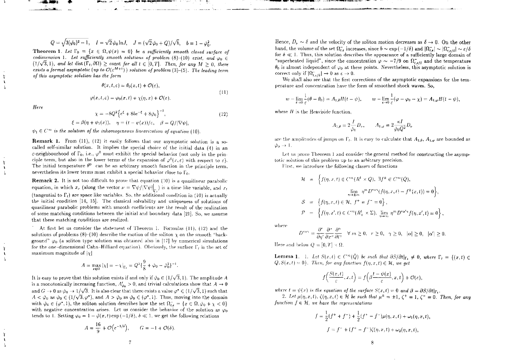$$
Q = \sqrt{3(\dot{\varphi}_0)^2 - 1}, \quad I = \sqrt{2}\,\dot{\varphi}_0\ln J, \quad J = (\sqrt{2}\,\ddot{\varphi}_0 + Q)/\sqrt{b}, \quad b = 1 - \dot{\varphi}_0^2.
$$

**Theorem 1.** Let  $\Gamma_0 = \{x \in \Omega, \psi(x) = 0\}$  be a sufficiently smooth closed surface of *codimension* 1. Let sufficiently smooth solutions of problem  $(8)-(10)$  exist, and  $\varphi_0 \in$  $(1/\sqrt{3},1)$ , and let dist  $(\Gamma_t, \partial\Omega) \ge \text{const}$  for all  $t \in [0,T]$ . Then, for any  $M \ge 0$ , there *exists a formal asymptotic (up to*  $O(\varepsilon^{M+1})$ *) solution of problem (3)-(5). The leading term of this asymptotic solution has the form*

$$
\theta(x,t,\varepsilon) = \theta_0(x,t) + \mathcal{O}(\varepsilon),
$$
  
 
$$
\varphi(x,t,\varepsilon) = \varphi_0(x,t) + \chi(\eta,x) + \mathcal{O}(\varepsilon).
$$
 (11)

*Here*

 $\mathbf{t}$  $\frac{1}{2}$ 

$$
\chi = -8Q^2 \Big\{ e^{\xi} + 8be^{-\xi} + 8\dot{\varphi}_0 \Big\}^{-1},
$$
  
\n
$$
\xi = \beta(\eta + \psi_1(x)), \quad \eta = (t - \psi(x))/\varepsilon, \quad \beta = Q/|\nabla\psi|,
$$
\n(12)

 $\psi_1 \in C^{\infty}$  is the solution of the inhomogeneous linearization of equation (10).

**Remark 1.** From (11), (12) it easily follows that our asymptotic solution is a socalled self-similar solution. It implies the special choice of the initial data *(A)* in an  $\varepsilon$ -neighbourhood of  $\Gamma_0$ , i.e.,  $\varphi^0$  must exhibit the special behavior (not only in the principle term, but also in the lower terms of the expansion of  $\varphi^0(x,\varepsilon)$  with respect to  $\varepsilon$ ). The initial temperature  $\theta^0$  can be an arbitrary smooth function in the principle term, nevertheless its lower terms must exhibit a special behavior close to  $\Gamma_0$ .

**Remark 2.** It is not too difficult to prove that equation (10) is a quasilinear parabolic equation, in which  $x_\nu$  (along the vector  $\nu = \nabla \psi/|\nabla \psi|_\nu|$  ) is a time like variable, and  $x_t$ (tangential to  $\Gamma_t$ ) are space like variables. So, the additional condition in (10) is actually the initial condition [14, 15]. The classical solvability and uniqueness of solutions of quasilinear parabolic problems with smooth coefficients are the result of the realization of some matching conditions between the initial and boundary data  $[2]$ . So, we assume that these matching conditions are realized.

At first let us consider the statement of Theorem 1. Formulas (11), (12) and the solutions of problems  $(8)$ –(10) describe the motion of the soliton  $\gamma$  on the smooth "background"  $\varphi_0$  (a soliton type solution was obtained also in [17] by numerical simulations for the one-dimensional Cahn-Milliard equation). Obviously, the surface *V,* is the set of maximum magnitude of  $|y|$ 

$$
A = \max_{x \in \Omega} |\chi| = -\chi|_{\Gamma_t} = Q^2 \left\{ \frac{9}{8} + \dot{\varphi}_0 - \dot{\varphi}_0^2 \right\}^{-1}.
$$

It is easy to prove that this solution exists if and only if  $\phi_0 \in (1/\sqrt{3}, 1)$ . The amplitude A is a monotonically increasing function,  $A'_{\phi_0} > 0$ , and trivial calculations show that  $A \to 0$ and  $G \to 0$  as  $\phi_0 \to 1/\sqrt{3}$ . It is also clear that there exists a value  $\varphi^* \in (1/\sqrt{3},1)$  such that  $A < \tilde{\varphi}_0$  as  $\tilde{\varphi}_0 \in (1/\sqrt{3}, \varphi^*)$ , and  $A > \tilde{\varphi}_0$  as  $\tilde{\varphi}_0 \in (\varphi^*, 1)$ . Thus, moving into the domain with  $\phi_0 \in (\varphi^*, 1)$ , the soliton solution describes how the set  $\Omega_{\epsilon}^- = \{x \in \Omega, \phi_0 + \chi < 0\}$ with negative concentration arises. Let us consider the behavior of the solution as  $\varphi_0$ tends to 1. Setting  $\varphi_0 = 1 - \tilde{\varphi}(x,t) \exp(-1/\delta), \delta \ll 1$ , we get the following relations

$$
A = \frac{16}{9} + \mathcal{O}\left(e^{-1/\delta}\right), \qquad G = -1 + \mathcal{O}(\delta)
$$

Hence,  $D_{\nu} \sim \delta$  and the velocity of the soliton motion decreases as  $\delta \rightarrow 0$ . On the other hand, the volume of the set  $\Omega_{t,\varepsilon}^-$  increases, since  $b\thicksim \exp{(-1/\delta)}$  and  $|\Omega_{t,\varepsilon}^-|\sim |\Omega_{t,\varepsilon/\delta}^-| \sim \varepsilon/\delta$ for  $\delta \ll 1$ . Thus, this solution describes the appearance of a sufficiently large domain of "superheated liquid", since the concentration  $\varphi \sim -7/9$  on  $\Omega_{t,\epsilon/\delta}^-$  and the temperature  $\theta_0$  is almost independent of  $\varphi_0$  at these points. Nevertheless, this asymptotic solution is correct only if  $|\Omega_{\ell, \epsilon/3}^+| \to 0$  as  $\epsilon \to 0$ .

We shall also see that the first corrections of the asymptotic expansions for the temperature and concentration have the form of smoothed shock waves. So,

$$
w - \lim_{\epsilon \to 0} \frac{1}{\epsilon} (\theta - \theta_0) = A_{1,\theta} H(t - \psi), \qquad w - \lim_{\epsilon \to 0} \frac{1}{\epsilon} (\varphi - \varphi_0 - \chi) = A_{1,\varphi} H(t - \psi),
$$

where *II* is the Heaviside function,

$$
A_{1,\theta} = 2\frac{I}{\dot{\varphi}_0}D_{\nu}, \qquad A_{1,\varphi} = 2\frac{\kappa I}{\dot{\varphi}_0 Q^2}D_{\nu}
$$

are the amplitudes of jumps on  $\Gamma_i$ . It is easy to calculate that  $A_{1,\theta}$ ,  $A_{1,\theta}$  are bounded as  $\phi_0 \rightarrow 1$ .

Let us prove Theorem 1 and consider the general method for constructing the asymptotic solution of this problem up to an arbitrary precision.

First, we introduce the following classes of functions

$$
\mathcal{H} = \left\{ f(\eta, x, t) \in C^{\infty}(R^1 \times Q), \exists f^{\pm} \in C^{\infty}(\tilde{Q}), \right\}
$$

$$
\lim_{\eta \to \pm \infty} \eta^m D^{r\alpha\gamma}(f(\eta, x, t) - f^{\pm}(x, t)) = 0 \right\},
$$

$$
\mathcal{S} = \left\{ f(\eta, x, t) \in \mathcal{H}, f^{\pm} = f^{\pm} = 0 \right\},
$$

$$
\mathcal{P} = \left\{ f(\eta, x', t) \in C^{\infty}(R^1_+ \times \Sigma), \lim_{\eta \to \infty} \eta^m D^{r\alpha^t \gamma} f(\eta, x', t) = 0 \right\},
$$

where

$$
D^{r\alpha\gamma} = \frac{\partial^r}{\partial \eta^r} \frac{\partial^{\alpha}}{\partial x^{\alpha}} \frac{\partial^{\gamma}}{\partial t^{\gamma}} \quad \forall \ m \ge 0, \ r \ge 0, \ \gamma \ge 0, \ |\alpha| \ge 0, \ |\alpha'| \ge 0
$$

Here and below  $Q = [0, T] \times \Omega$ .

**Lemma 1.** 1. Let  $S(x,t) \in C^{\infty}(\bar{Q})$  be such that  $\partial S/\partial t|_{\Gamma_t} \neq 0$ , where  $\Gamma_t = \{(x,t) \in$  $Q, S(x,t) = 0$ . Then, for any function  $f(\eta, x, t) \in \mathcal{H}$ , we get

$$
f\left(\frac{S(x,t)}{\varepsilon},x,t\right) = f\left(\beta\frac{t-\psi(x)}{\varepsilon},x,t\right) + \mathcal{O}(\varepsilon),
$$

*where*  $t = \psi(x)$  *is the equation of the surface*  $S(x, t) = 0$  *and*  $\beta = \partial S/\partial t\vert_{\Gamma_t}$ .

2. Let  $\mu(\eta, x, t)$ ,  $\zeta(\eta, x, t) \in \mathcal{H}$  be such that  $\mu^{\pm} = \pm 1$ ,  $\zeta^{+} = 1$ ,  $\zeta^{-} = 0$ . Then, for any *function*  $f \in \mathcal{H}$ *, we have the representations* 

$$
f = \frac{1}{2}(f^+ + f^-) + \frac{1}{2}(f^+ - f^-)\mu(\eta, x, t) + \omega_1(\eta, x, t),
$$
  

$$
f = f^- + (f^+ - f^-)\zeta(\eta, x, t) + \omega_2(\eta, x, t),
$$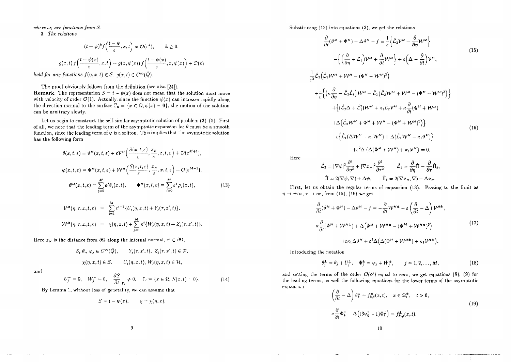*where*  $\omega_i$  *are functions from S.* 

3. *The relations*

$$
(t - \psi)^k f\left(\frac{t - \psi}{\varepsilon}, x, t\right) = \mathcal{O}(\varepsilon^k), \qquad k \ge 0,
$$
  

$$
g(x, t) f\left(\frac{t - \psi(x)}{\varepsilon}, x, t\right) = g(x, \psi(x)) f\left(\frac{t - \psi(x)}{\varepsilon}, x, \psi(x)\right) + \mathcal{O}(\varepsilon)
$$

*hold for any functions*  $f(\eta, x, t) \in S$ *,*  $g(x, t) \in C^{\infty}(\overline{Q})$ *.* 

The proof obviously follows from the definition (see also [24]).

**Remark.** The representation  $S = t - \psi(x)$  does not mean that the solution must move with velocity of order  $\mathcal{O}(1)$ . Actually, since the function  $\psi(x)$  can increase rapidly along the direction normal to the surface  $\Gamma_0 = \{x \in \Omega, \psi(x) = 0\}$ , the motion of the solution can be arbitrary slowly.

Let us begin to construct the self-similar asymptotic solution of problem  $(3)-(5)$ . First of all, we note that the leading term of the asymptotic expansion for *0* must be a smooth function, since the leading term of  $\varphi$  is a soliton. This implies that the asymptotic solution has the following form

$$
\theta(x,t,\varepsilon) = \vartheta^{M}(x,t,\varepsilon) + \varepsilon \mathcal{V}^{M}\left(\frac{S(x,t,\varepsilon)}{\varepsilon}, \frac{x_{N}}{\varepsilon}, x, t, \varepsilon\right) + \mathcal{O}(\varepsilon^{M+1}),
$$
  

$$
\varphi(x,t,\varepsilon) = \Phi^{M}(x,t,\varepsilon) + \mathcal{W}^{M}\left(\frac{S(x,t,\varepsilon)}{\varepsilon}, \frac{x_{N}}{\varepsilon}, x, t, \varepsilon\right) + \mathcal{O}(\varepsilon^{M+1}),
$$
  

$$
\vartheta^{M}(x,t,\varepsilon) = \sum_{j=0}^{M} \varepsilon^{j} \theta_{j}(x,t), \qquad \Phi^{M}(x,t,\varepsilon) = \sum_{j=0}^{M} \varepsilon^{j} \varphi_{j}(x,t), \qquad (13)
$$

$$
\mathcal{V}^{M}(\eta,\tau,x,t,\varepsilon) = \sum_{j=1}^{M} \varepsilon^{j-1} \{U_{j}(\eta,x,t) + Y_{j}(\tau,x',t)\},
$$
  

$$
\mathcal{W}^{M}(\eta,\tau,x,t,\varepsilon) = \chi(\eta,x,t) + \sum_{j=1}^{M} \varepsilon^{j} \{W_{j}(\eta,x,t) + Z_{j}(\tau,x',t)\}
$$

Here  $x_N$  is the distance from  $\partial\Omega$  along the internal normal,  $x' \in \partial\Omega$ ,

$$
S, \theta_i, \varphi_j \in C^{\infty}(\bar{Q}), \qquad Y_j(\tau, x', t), \ Z_j(\tau, x', t) \in \mathcal{P},
$$
  

$$
\chi(\eta, x, t) \in S, \qquad U_j(\eta, x, t), W_j(\eta, x, t) \in \mathcal{H},
$$

and

and a strong state of

**Contractor** 

$$
U_j^- = 0, \quad W_j^- = 0, \quad \frac{\partial S}{\partial t}\Big|_{\Gamma_t} \neq 0, \quad \Gamma_t = \{x \in \Omega, \, S(x, t) = 0\}.
$$
 (14)

By Lemma 1, without loss of generality, we can assume that

$$
S = t - \psi(x), \qquad \chi = \chi(\eta, x).
$$

Substituting (12) into equations (3), we get the relations

$$
\frac{\partial}{\partial t}(\vartheta^{M} + \Phi^{M}) - \Delta \vartheta^{M} - f = \frac{1}{\varepsilon} \Big\{ \hat{\mathcal{L}}_{2} \mathcal{V}^{M} - \frac{\partial}{\partial \eta} \mathcal{W}^{M} \Big\}
$$
\n
$$
- \Big\{ \Big( \frac{\partial}{\partial \eta} + \mathcal{L}_{1} \Big) \mathcal{V}^{M} + \frac{\partial}{\partial t} \mathcal{W}^{M} \Big\} + \varepsilon \Big( \Delta - \frac{\partial}{\partial t} \Big) \mathcal{V}^{M},
$$
\n
$$
\frac{1}{\varepsilon^{2}} \hat{\mathcal{L}}_{2} \Big( \hat{\mathcal{L}}_{2} \mathcal{W}^{M} + \mathcal{W}^{M} - (\Phi^{M} + \mathcal{W}^{M})^{3} \Big)
$$
\n
$$
+ \frac{1}{\varepsilon} \Big\{ \Big( \kappa \frac{\partial}{\partial \eta} - \hat{\mathcal{L}}_{2} \hat{\mathcal{L}}_{1} \Big) \mathcal{W}^{M} - \hat{\mathcal{L}}_{1} \Big( \hat{\mathcal{L}}_{2} \mathcal{W}^{M} + \mathcal{W}^{M} - (\Phi^{M} + \mathcal{W}^{M})^{3} \Big) \Big\}
$$
\n
$$
+ \Big\{ (\hat{\mathcal{L}}_{2} \Delta + \hat{\mathcal{L}}_{1}^{2}) \mathcal{W}^{M} + \kappa_{1} \hat{\mathcal{L}}_{2} \mathcal{V}^{M} + \kappa \frac{\partial}{\partial t} (\Phi^{M} + \mathcal{W}^{M})
$$
\n
$$
+ \Delta \Big( \hat{\mathcal{L}}_{2} \mathcal{W}^{M} + \Phi^{M} + \mathcal{W}^{M} - (\Phi^{M} + \mathcal{W}^{M})^{3} \Big) \Big\}
$$
\n
$$
- \varepsilon \Big\{ \hat{\mathcal{L}}_{1} (\Delta \mathcal{W}^{M} + \kappa_{1} \mathcal{W}^{M}) + \Delta (\hat{\mathcal{L}}_{1} \mathcal{W}^{M} - \kappa_{1} \vartheta^{M} \Big) \Big\}
$$
\n
$$
+ \varepsilon^{2} \Delta \Big\{ \Delta (\Phi^{M} + \mathcal{W}^{M}) + \kappa_{1} \mathcal
$$

Here

$$
\hat{\mathcal{L}}_2 = |\nabla \psi|^2 \frac{\partial^2}{\partial \eta^2} + |\nabla x_N|^2 \frac{\partial^2}{\partial \tau^2}, \qquad \hat{\mathcal{L}}_1 = \frac{\partial}{\partial \eta} \hat{\Pi} - \frac{\partial}{\partial \tau} \hat{\Pi}_b,
$$

$$
\hat{\Pi} = 2(\nabla \psi, \nabla) + \Delta \psi, \qquad \hat{\Pi}_b = 2(\nabla x_N, \nabla) + \Delta x_N.
$$

First, let us obtain the regular terms of expansion (13). Passing to the limit as  $\eta \to \pm \infty$ ,  $\tau \to \infty$ , from (15), (16) we get

$$
\frac{\partial}{\partial t}(\vartheta^{M} + \Phi^{M}) - \Delta\vartheta^{M} - f = -\frac{\partial}{\partial t}W^{M\pm} - \varepsilon \left(\frac{\partial}{\partial t} - \Delta\right)W^{M\pm},
$$
\n
$$
\kappa \frac{\partial}{\partial t}(\Phi^{M} + W^{M\pm}) + \Delta\left(\Phi^{M} + W^{M\pm} - (\Phi^{M} + W^{M\pm})^{3}\right)
$$
\n
$$
+ \varepsilon \kappa_{1} \Delta\vartheta^{M} + \varepsilon^{2} \Delta\left(\Delta(\Phi^{M} + W^{M\pm}) + \kappa_{1}V^{M\pm}\right).
$$
\n(17)

Introducing the notation

$$
\theta_j^{\pm} = \theta_j + U_j^{\pm}, \quad \Phi_j^{\pm} = \varphi_j + W_j^{\pm}, \qquad j = 1, 2, ..., M,
$$
 (18)

and setting the terms of the order  $\mathcal{O}(\varepsilon^j)$  equal to zero, we get equations (8), (9) for the leading terms, as well the following equations for the lower terms of the asymptotic expansion **State State** 

$$
\left(\frac{\partial}{\partial t} - \Delta\right) \theta_k^{\pm} = f_{k,\theta}^{\pm}(x,t), \quad x \in \Omega_t^{\pm}, \quad t > 0,
$$
  

$$
\kappa \frac{\partial}{\partial t} \Phi_k^{\pm} - \Delta\left((3\varphi_0^2 - 1)\Phi_k^{\pm}\right) = f_{k,\varphi}^{\pm}(x,t).
$$
 (19)

the contract of the company separation of

 $\overline{9}$ 

**Carl Carl Carl** 

10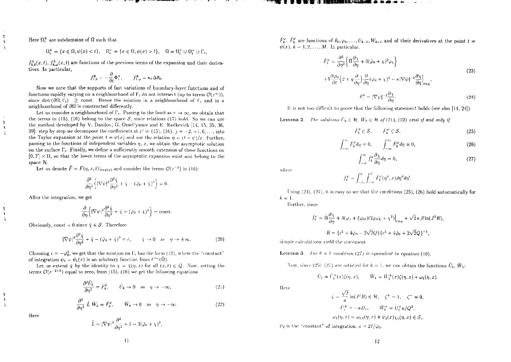Here  $\Omega_t^{\pm}$  are subdomains of  $\Omega$  such that

 $\mathbf{t}$ 

 $\mathbb{I}$ Ŵ  $\mathbf{I}_\mathrm{I}$ 

年七月

$$
\Omega^+_t = \{x \in \Omega, \psi(x) < t\}, \quad \Omega^-_t = \{x \in \Omega, \psi(x) > t\}, \quad \Omega = \Omega^+_t \cup \Omega^-_t \cup \Gamma_t,
$$

 $f_{k,\theta}^{\pm}(x,t), f_{k,\omega}^{\pm}(x,t)$  are functions of the previous terms of the expansion and their derivatives. In particular,

$$
f_{1,\theta}^{\pm}=-\frac{\partial}{\partial t}\Phi_{1}^{\pm},\qquad f_{1,\varphi}^{\pm}=\kappa_1\Delta\theta_0.
$$

Now we note that the supports of fast variations of boundary-layer functions and of functions rapidly varying on a neighbourhood of  $\Gamma_t$  do not intersect (up to terms  $\mathcal{O}(\varepsilon^\infty)$ ), since dist( $\partial \Omega$ ,  $\Gamma$ ) > const. Hence the solution in a neighbourhood of  $\Gamma$ , and in a neighbourhood of  $\partial\Omega$  is constructed differently.

Let us consider a neighbourhood of  $\Gamma_t.$  Passing to the limit as  $\tau\rightarrow\infty,$  we obtain that the terms in (15), (16) belong to the space  $S$ , since relations (17) hold. So we can use the method developed by V. Danilov, G. Omel'yanov and E. Radkevich [14, 15, 35, 36, 39]: step by step we decompose the coefficients at  $\varepsilon^j$  in (15), (16).  $j = -2, -1, 0, \ldots$ , into the Taylor expansion at the point  $t = \psi(x)$  and use the relation  $\eta = (t - \psi)/\varepsilon$ . Further, passing to the functions of independent variables  $\eta$ ,  $x$ , we obtain the asymptotic solution on the surface  $\Gamma_t$ . Finally, we define a sufficiently smooth extension of these functions on  $[0, T] \times \Omega$ , so that the lower terms of the asymptotic expansion exist and belong to the space  $\mathcal{H}$ .

Let us denote  $\tilde{F} = F(\eta, x, t)|_{t = \psi(x)}$  and consider the terms  $\mathcal{O}(\varepsilon^{-2})$  in (16):

$$
\frac{\partial^2}{\partial \eta^2} \left\{ |\nabla \psi|^2 \frac{\partial^2 \tilde{\chi}}{\partial \eta^2} + \tilde{\chi} - (\tilde{\varphi}_0 + \tilde{\chi})^3 \right\} = 0.
$$

After the integration, we get

$$
\frac{\partial}{\partial \eta}\Big\{|\nabla \psi|^2\frac{\partial^2 \dot{\chi}}{\partial \eta^2}+\dot{\chi}-(\dot{\varphi}_0+\dot{\chi})^3\Big\}=\mathrm{const.}
$$

Obviously, const = 0 since  $\check{\chi} \in \mathcal{S}$ . Therefore

$$
|\nabla \psi|^2 \frac{\partial^2 \tilde{\chi}}{\partial \eta^2} + \tilde{\chi} - (\tilde{\varphi}_0 + \tilde{\chi})^3 = c, \qquad \tilde{\chi} \to 0 \quad \text{as} \quad \eta \to \pm \infty. \tag{20}
$$

Choosing  $\epsilon = -\check{\varphi}_0^3,$  we get that the solution on  $\Gamma_t$  has the form (12), where the "constant" of integration  $\psi_1 = \psi_1(x)$  is an arbitrary function from  $C^{\infty}(\bar{\Omega})$ .

Let us extend  $\check{\chi}$  by the identity to  $\chi = \check{\chi}(\eta, x)$  for all  $(x, t) \in Q$ . Now, setting the terms  $\mathcal{O}(\varepsilon^{-2+k})$  equal to zero, from (15), (16) we get the following equations

$$
\frac{\partial^2 \dot{U}_k}{\partial \eta^2} = \dot{F}_k^{\theta}, \qquad \dot{U}_k \to 0 \quad \text{as} \quad \eta \to -\infty,
$$
\n(21)

$$
\frac{\partial^2}{\partial \eta^2} \hat{L} \hat{W}_k = \hat{F}_k^{\varphi}, \qquad \hat{W}_k \to 0 \quad \text{as} \quad \eta \to -\infty. \tag{22}
$$

Here

$$
\hat{L} = |\nabla \psi|^2 \frac{\partial^2}{\partial n^2} + 1 - 3(\phi_0 + \chi)^2,
$$

 $\tilde{F}_k^{\varphi}$ ,  $\tilde{F}_k^{\theta}$  are functions of  $\theta_0, \varphi_0, \ldots, U_{k-1}, W_{k-1}$  and of their derivatives at the point  $t =$  $\psi(x)$ ,  $k = 1, 2, \ldots, M$ . In particular.

$$
\tilde{F}_1^{\varphi} = \frac{\partial^2}{\partial \eta^2} \left\{ \hat{\Pi} \frac{\partial \chi}{\partial \eta} + 3(\dot{\varphi}_0 + \chi)^2 \varphi_1 \right\}
$$
\n
$$
+ 3 \frac{\partial \varphi_0}{\partial t} \left\{ 2 + \eta \frac{\partial}{\partial \eta} \right\} \frac{\partial}{\partial \eta} (\varphi_0 + \chi)^2 - \kappa |\nabla \psi|^{-2} \frac{\partial \chi}{\partial \eta} \Big|_{t=\psi},
$$
\n
$$
\tilde{F}_1^{\theta} = |\nabla \psi|^{-2} \frac{\partial \chi}{\partial \eta}.
$$
\n(24)

It is not too difficult to prove that the following statement holds (see also [14, 24])

Lemm a *2. The solutions 0k* £ *H.* 114 € *H of {21),* ("22) *eiml if and only if*

$$
\tilde{F}_{k}^{\theta} \in \mathcal{S}, \qquad \tilde{F}_{k}^{\varphi} \in \mathcal{S}, \tag{25}
$$

$$
\int_{-\infty}^{\infty} \tilde{F}_k'' d\eta = 0, \qquad \int_{-\infty}^{\infty} \tilde{F}_k'' d\eta = 0,
$$
 (26)

$$
\int_{-\infty}^{\infty} \check{f}_k^{\alpha} \frac{\partial \chi}{\partial \eta} d\eta = 0, \tag{27}
$$

*whr.re*

$$
\check{f}_k^{\varphi} = \int_{-\infty}^{\eta} \int_{-\infty}^{\eta'} \check{F}_k^{\varphi}(\eta'', x) d\eta'' d\eta'.
$$

Using  $(23)$ ,  $(24)$ , it is easy to see that the conditions  $(25)$ ,  $(26)$  hold automatically for  $k = 1$ .

I'urther, since

$$
\hat{f}_1^c = \hat{\Pi} \frac{\partial \chi}{\partial \eta} + 3(\varphi_1 + \xi \varphi_0)(2\varphi_0 \chi + \chi^2) \Big|_{t=\psi} + \sqrt{2} \kappa \beta \ln(J^2 R)
$$
  

$$
R = \{ e^{\xi} + 4\hat{\varphi}_0 - 2\sqrt{2}Q \} \{ e^{\xi} + 4\hat{\varphi}_0 + 2\sqrt{2}Q \}^{-1},
$$

simple calculations yield the statement.

**Lemma 3.** *For k = 1 condition* (27) is equivalent to equation (10).

Now, since (25) (27) are satisfied for  $k=1$ , we can obtain the functions  $\tilde{U}_1$ ,  $\tilde{W}_1$ :

$$
U_1 = U_1^+(x)\zeta(\eta, x), \qquad W_1 = W_1^+(x)\zeta(\eta, x) + \omega_1(\eta, x).
$$

Here.

$$
\zeta = \frac{\sqrt{2}}{a} \ln(J^2 R) \in \mathcal{H}, \quad \zeta^+ = 1, \quad \zeta^- = 0,
$$
  

$$
\bar{U}_1^+ = -aD_\nu, \qquad \bar{W}_1^+ = \bar{U}_1^+ \kappa/Q^2,
$$
  

$$
\omega_1(\eta, x) = \omega_{1,1}(\eta, x) + \psi_2(x)\chi_\eta(\eta, x) \in \mathcal{S},
$$

 $\psi_2$  is the "constant" of integration,  $a = 2I/\dot{\varphi}_0$ .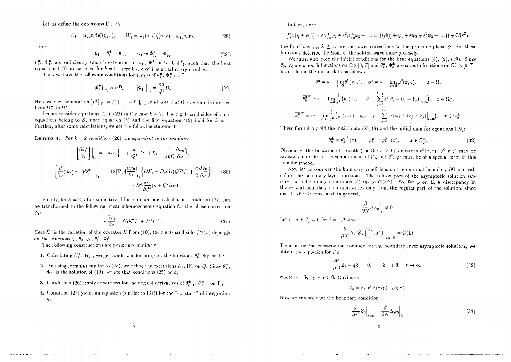Let us define the extensions  $U_1$ ,  $W_1$ 

$$
U_1 = u_1(x, t)\zeta(\eta, x), \qquad W_1 = w_1(x, t)\zeta(\eta, x) + \omega_1(\eta, x). \tag{28}
$$

Here

$$
u_1 = \theta_{1c}^+ - \theta_{1c}^-, \qquad w_1 = \Phi_{1c}^+ - \Phi_{1c}^-,\tag{28'}
$$

 $\theta_{1c}^{\pm}$ ,  $\Phi_{1c}^{\pm}$  are sufficiently smooth extensions of  $\theta_{1}^{\pm}$ ,  $\Phi_{1}^{\pm}$  in  $\Omega_{t}^{\pm}$  U  $\Gamma_{t,\delta}^{\pm}$ , such that the heat equations (19) are satisfied for  $k = 1$ . Here  $0 < \delta \ll 1$  is an arbitrary number.

Thus we have the following conditions for jumps of  $\theta^{\pm}$ ,  $\Phi^{\pm}$  on *Y*.

$$
\left[\theta_{1}^{\pm}\right]_{\Gamma_{\nu}} = aD_{\nu}, \qquad \left[\Phi_{1}^{\pm}\right]_{\Gamma_{\nu}} = \frac{\kappa a}{Q^2}D_{\nu}
$$
\n(29)

Here we use the notation  $[f^{\pm}]|_{\Gamma_{\epsilon}} = f^{\pm}|_{\Gamma_{\epsilon}+0} - f^{\pm}|_{\Gamma_{\epsilon}=0}$  and note that the vector  $\nu$  is directed from  $\Omega_t^+$  to  $\Omega_t^+$ .

Let us consider equations (21), (22) in the case  $k = 2$ . The right-hand sides of these equations belong to S, since equation (8) and the first equation (19) hold for  $k = 1$ . Further, after some calculations, we get the following statement

**Lemma 4.** For  $k = 2$  conditions (26) are equivalent to the equalities

$$
\left[\frac{\partial \theta_{\rm L}^{\pm}}{\partial \nu}\right]_{\Gamma_{\rm L}} = -aD_{\nu}\left\{ (1 + \frac{\kappa}{Q^2})D_{\nu} + \mathcal{K}_{\rm L} - \frac{4}{a b Q} \frac{\partial \phi_{0}}{\partial \nu} \right\},
$$
\n
$$
\left[\frac{\partial}{\partial \nu}(3\varphi_{0}^{2} - 1)\Phi_{\rm L}^{\pm}\right]_{\Gamma_{\rm L}} = -12|\nabla \psi| \frac{\partial \varphi_{0}}{\partial t}|_{\Gamma_{\rm L}} \left\{ Q\mathcal{K}_{\rm L} - D_{\nu} \text{div}(Q\nabla \psi) + \frac{a}{2} \frac{\partial \phi_{0}}{\partial \nu} \right\} \qquad (30)
$$
\n
$$
+ D_{\nu}^{2} \frac{\kappa a}{2Q^{2}} (\kappa + Q^{2} \Delta \psi).
$$

Finally, for  $k = 2$ , after some trivial but cumbersome calculations condition (27) can be transformed to the following linear inhomogeneous equation for the phase correction  $\psi_1$ :

$$
\kappa \frac{\partial \psi_1}{\partial \nu} = G_1 \hat{\mathcal{K}}' \psi_1 + f^{\psi_1}(x). \tag{31}
$$

Here  $\hat{K}'$  is the variation of the operator  $\hat{K}$  from (10), the right-hand side  $f^{\psi_1}(x)$  depends on the functions  $\psi$ ,  $\theta_0$ ,  $\varphi_0$ ,  $\theta_1^{\pm}$ ,  $\Phi_1^{\pm}$ .

The following constructions are performed similarly:

- 1. Calculating  $U^{\pm}_k$ ,  $\dot{W}^{\pm}_k$ , we get conditions for jumps of the functions  $\theta^{\pm}_k$ ,  $\phi^{\pm}_k$  on  $\Gamma_k$ ;
- 2. By using formulas similar to (28), we define the extensions  $U_k$ ,  $W_k$  on  $Q$ . Since  $\theta_k^{\pm}$ ,  $\Phi_k^\pm$  is the solution of (19), we see that conditions (25) hold;
- **3.** Conditions (26) imply conditions for the normal derivatives of  $\theta_{k-1}^{\pm}$ ,  $\Phi_{k-1}^{\pm}$  on  $\Gamma_i$ ;
- 4. Condition (27) yields an equation (similar to (31)) for the "constant" of integration  $\psi_k$

In fact, since

 $(\varepsilon^2 \psi_3 + \ldots)) + \mathcal{O}(\varepsilon^2),$ 

the functions  $\psi_k, k \geq 1$ , are the lower corrections to the principle phase  $\psi$ . So, these functions describe the front of the soliton wave more precisely.

We must also pose the initial conditions for the heat equations (8), (9), (19). Since  $\theta_0$ ,  $\varphi_0$  are smooth functions on  $\Omega \times [0, T]$  and  $\theta_t^{\pm}$ ,  $\Phi_t^{\pm}$  are smooth functions on  $\Omega_t^{\pm} \times [0, T]$ , let us define the initial data as follows

$$
\overline{\theta^0} = w - \lim_{\varepsilon \to 0} \theta^0(x, \varepsilon), \quad \overline{\phi^0} = w - \lim_{\varepsilon \to 0} \varphi^0(x, \varepsilon), \qquad x \in \Omega,
$$

$$
\overline{\theta_k^0}^{\pm} = w - \lim_{\varepsilon \to 0} \frac{1}{\varepsilon^k} \Big( \theta^0(x, \varepsilon) - \theta_0 - \sum_{j=1}^{k-1} \varepsilon^j (\theta_j + U_j + Y_j) \Big|_{t=0} \Big), \quad x \in \Omega_0^{\pm},
$$

$$
\overline{\varphi_k^0}^{\pm} = w - \lim_{\varepsilon \to 0} \frac{1}{\varepsilon^k} \Big( \varphi^0(x, \varepsilon) - \varphi_0 - \chi - \sum_{j=1}^{k-1} \varepsilon^j (\varphi_j + W_j + Z_j) \Big|_{t=0} \Big), \quad x \in \Omega_0^{\pm}.
$$

These formulas yield the initial data  $(8)$ ,  $(9)$  and the initial data for equations (19):

$$
\theta_k^{\pm} = \overline{\theta_k^0}^{\pm}(x), \qquad \varphi_k^{\pm} = \overline{\varphi_k^0}^{\pm}(x), \qquad x \in \Omega_0^{\pm}.
$$
 (32)

Obviously, the behavior of smooth (for the  $\varepsilon > 0$ ) functions  $\theta^0(x,\varepsilon)$ ,  $\varphi^0(x,\varepsilon)$  may be arbitrary outside an  $\varepsilon$ -neighbourhood of  $\Gamma_0$ , but  $\theta^0$ ,  $\varphi^0$  must be of a special form in this neighbourhood.

Now let us consider the boundary conditions on the external boundary  $\partial\Omega$  and calculate the boundary-layer functions. The soliton part of the asymptotic solution satisfies both boundary conditions (5) up to  $\mathcal{O}(\varepsilon^{\infty})$ . So, for  $\varphi$  on  $\Sigma$ , a discrepancy in the second boundary condition arises only from the regular part of the solution, since  $dist(\Gamma_i, \partial \Omega)$  > const and, in general,

$$
\left.\frac{\partial}{\partial N}\Delta\varphi_0\right|_{\Sigma}\neq 0.
$$

Let us put  $Z_i = 0$  for  $i = 1, 2$  since

$$
\frac{\partial}{\partial N} \Delta \varepsilon^3 Z_3 \left( \frac{x_N}{\varepsilon}, x' \right) \Big|_{x_N = 0} = \mathcal{O}(1).
$$

Then, using the construction common for the boundary layer asymptotic solutions, we obtain the equation for *Z:i:*

$$
\frac{\partial^2}{\partial \tau^2} Z_3 - q Z_3 = 0, \qquad Z_3 \to 0, \quad \tau \to \infty,
$$
 (32)

where  $q = 3\varphi_0^2|_{\Sigma} - 1 > 0$ . Obviously,

$$
Z_3=c_3(x',t)\exp(-\sqrt{q}\,\,\tau).
$$

14

Now we can see that the boundary condition

$$
\left. \frac{\partial^3}{\partial \tau^3} Z_3 \right|_{\tau=0} = \left. \frac{\partial}{\partial N} \Delta \varphi_0 \right|_{\Sigma} \tag{33}
$$

13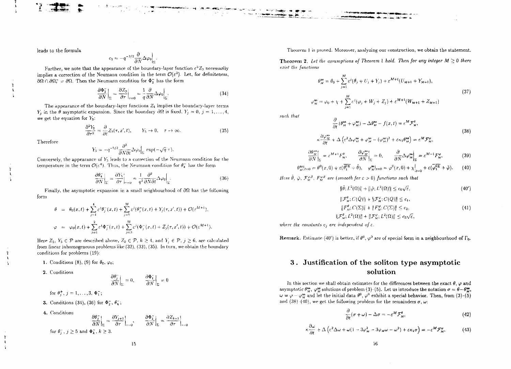leads to the formula

$$
c_3=-q^{-3/2}\frac{\partial}{\partial N}\Delta\varphi_0\bigg|_{\Sigma}.
$$

Further, we note that the appearance of the boundary-layer function  $\varepsilon^3 Z_3$  necessarily implies a correction of the Neumann condition in the term  $\mathcal{O}(\varepsilon^2)$ . Let, for definiteness,  $\partial\Omega\cap\partial\Omega_r^* = \partial\Omega$ . Then the Neumann condition for  $\Phi_2^*$  has the form

$$
\left. \frac{\partial \Phi_2^*}{\partial N} \right|_{\Sigma} = \left. \frac{\partial Z_3}{\partial \tau} \right|_{\tau=0} = \left. \frac{1}{q} \frac{\partial}{\partial N} \Delta \varphi_0 \right|_{\Sigma}.
$$
 (34)

The appearance of the boundary-layer functions  $Z_k$  implies the boundary-layer terms  $Y_i$  in the  $\theta$  asymptotic expansion. Since the boundary  $\partial\Omega$  is fixed,  $Y_i = 0, j = 1, \ldots, 4$ , we get the equation for  $Y_5$ :

$$
\frac{\partial^2 Y_5}{\partial \tau^2} = \frac{\partial}{\partial t} Z_3(\tau, x', t), \qquad Y_5 \to 0, \quad \tau \to \infty.
$$
 (35)

Therefore

 $\mathbf{A}$ 

 $\mathbf{L}$ 

$$
Y_5 = -q^{-5/2} \frac{\partial^2}{\partial N \partial t} \Delta \varphi_0 \Big|_{\Sigma} \exp(-\sqrt{q} \tau).
$$

Conversely, the appearance of  $Y_5$  leads to a correction of the Neumann condition for the temperature in the term  $\mathcal{O}(\varepsilon^4)$ . Thus, the Neumann condition for  $\theta_4^-$  has the form

$$
\left. \frac{\partial \theta_4^-}{\partial N} \right|_{\Sigma} = \left. \frac{\partial Y_5}{\partial \tau} \right|_{\tau=0} = \frac{1}{q^2} \frac{\partial^2}{\partial N \partial t} \Delta \varphi_0 \bigg|_{\Sigma}.
$$
 (36)

Finally, the asymptotic expansion in a small neighbourhood of  $\partial\Omega$  has the following form

$$
\theta = \theta_0(x,t) + \sum_{j=1}^4 \varepsilon^j \theta_j^-(x,t) + \sum_{j=5}^M \varepsilon^j (\theta_j^-(x,t) + Y_j(\tau, x',t)) + \mathcal{O}(\varepsilon^{M+1}),
$$
  

$$
\varphi = \varphi_0(x,t) + \sum_{j=1}^2 \varepsilon^j \Phi_j^-(x,t) + \sum_{j=3}^M \varepsilon^j (\Phi_j^-(x,t) + Z_j(\tau, x',t)) + \mathcal{O}(\varepsilon^{M+1}).
$$

Here  $Z_3$ ,  $Y_5 \in \mathcal{P}$  are described above,  $Z_k \in \mathcal{P}$ ,  $k \geq 4$ , and  $Y_i \in \mathcal{P}$ ,  $j \geq 6$ , are calculated from linear inhomogeneous problems like (32). (33), (35). In turn, we obtain the boundary conditions for problems (19):

1. Conditions (8), (9) for  $\theta_0$ ,  $\varphi_0$ ;

2. Conditions

$$
\left. \frac{\partial \theta_j^-}{\partial N} \right|_{\Sigma} = 0, \qquad \left. \frac{\partial \Phi_l^-}{\partial N} \right|_{\Sigma} = 0
$$

for  $\theta_i^+, j = 1, ..., 3, \Phi_i^-.$ 

**3.** Conditions (34), (36) for  $\Phi_2^-, \theta_4^+;$ 

4. Conditions

$$
\frac{\partial \theta_j^*}{\partial N}\Big|_{\Sigma} = \frac{\partial Y_{j+1}}{\partial \tau}\Big|_{\tau=0}, \qquad \frac{\partial \Phi_k^*}{\partial N}\Big|_{\Sigma} = \frac{\partial Z_{k+1}}{\partial \tau}\Big|_{\tau=0}
$$
  
for  $\theta_j^-, j \ge 5$  and  $\Phi_k^-, k \ge 3$ .

Theorem 1 is proved. Moreover, analyzing our construction, we obtain the statement.

**Theorem 2.** Let the assumptions of Theorem 1 hold. Then for any integer  $M \geq 0$  there *exist the functions*

$$
\theta_M^{\text{as}} = \theta_0 + \sum_{j=1}^{M} \varepsilon^j (\theta_j + U_j + Y_j) + \varepsilon^{M+1} (U_{M+1} + Y_{M+1}),
$$
  
\n
$$
\varphi_M^{\text{as}} = \varphi_0 + \chi + \sum_{i=1}^{M} \varepsilon^i (\varphi_i + W_j + Z_j) + \varepsilon^{M+1} (W_{M+1} + Z_{M+1})
$$
\n(37)

«\*• —..i-...\*: - «.-• . .

*that*

$$
\frac{\partial}{\partial t} \left( \theta_M^{\text{as}} + \varphi_M^{\text{as}} \right) - \Delta \theta_M^{\text{as}} - f(x, t) = \varepsilon^M \mathcal{F}_M^{\theta},
$$
\n
$$
\kappa \frac{\partial \varphi_M^{\text{as}}}{\partial t} + \Delta \left( \varepsilon^2 \Delta \varphi_M^{\text{as}} + \varphi_M^{\text{as}} - (\varphi_M^{\text{as}})^3 + \varepsilon \kappa_1 \theta_M^{\text{as}} \right) = \varepsilon^M \mathcal{F}_M^{\varphi},
$$
\n(38)

$$
\frac{\partial \theta_M^{as}}{\partial N}\Big|_{\Sigma} = \varepsilon^{M+1} F_M^{\theta}, \qquad \frac{\partial \varphi_M^{as}}{\partial N}\Big|_{\Sigma} = 0, \qquad \frac{\partial}{\partial N} \Delta \varphi_M^{as}\Big|_{\Sigma} = \varepsilon^{M-1} F_M^{\varphi}, \tag{39}
$$

$$
\theta_M^{as}|_{t=0} = \theta^0(x,0) + \varepsilon (\overline{\theta_1^{0\pm}} + \check{\theta}), \quad \varphi_M^{as}|_{t=0} = \varphi^0(x,0) + \chi \Big|_{t=0} + \varepsilon (\overline{\varphi_1^{0\pm}} + \check{\varphi}). \tag{40}
$$

 $\tilde{\theta}, \ \tilde{\varphi}, \ \mathcal{F}_{\boldsymbol{M}}^{\varphi,\theta}, \ F_{\boldsymbol{M}}^{\varphi,\theta}$  are (smooth for  $\varepsilon > 0$ ) functions such that

$$
\|\tilde{\theta}; L^2(\Omega)\| + \|\tilde{\varphi}; L^2(\Omega)\| \le c_0 \sqrt{\varepsilon},\tag{40'}
$$

$$
||\mathcal{F}_{M}^{\theta}; C(\bar{Q})|| + ||\mathcal{F}_{M}^{\varphi}; C(\bar{Q})|| \leq c_{1},
$$
  
\n
$$
||F_{M}^{\theta}; C(\Sigma)|| + ||F_{M}^{\varphi}; C(\Sigma)|| \leq c_{2},
$$
  
\n
$$
||\mathcal{F}_{M}^{\theta}; L^{2}(\Omega)|| + ||\mathcal{F}_{M}^{\varphi}; L^{2}(\Omega)|| \leq c_{3}\sqrt{\epsilon},
$$
\n(41)

*where the constants*  $c_i$  are independent of  $\varepsilon$ .

**Remark.** Estimate (40') is better, if  $\theta^0$ ,  $\varphi^0$  are of special form in a neighbourhood of  $\Gamma_0$ .

# 3 . Justification of the soliton type asymptotic solution

In this section we shall obtain estimates for the differences between the exact  $\theta$ ,  $\varphi$  and asymptotic  $\theta_{\mu\nu}^{\text{as}}, \varphi_{\mu}^{\text{as}}$  solutions of problem (3)-(5). Let us introduce the notation  $\sigma = \theta - \theta_{\mu\nu}^{\text{as}}$  $\omega = \varphi - \varphi_N^{\text{av}}$  and let the initial data  $\theta^0$ ,  $\varphi^0$  exhibit a special behavior. Then, from (3)-(5) and (38) (40), we get the following problem for the remainders  $\sigma$ ,  $\omega$ .

$$
\frac{\partial}{\partial t}(\sigma + \omega) - \Delta \sigma = -\varepsilon^M \mathcal{F}^{\theta}_M, \tag{42}
$$

$$
\kappa \frac{\partial \omega}{\partial t} + \Delta \left( \varepsilon^2 \Delta \omega + \omega (1 - 3\varphi_M^2 - 3\varphi_M \omega - \omega^2) + \varepsilon \kappa_1 \sigma \right) = -\varepsilon^M \mathcal{F}_M^{\varphi},\tag{43}
$$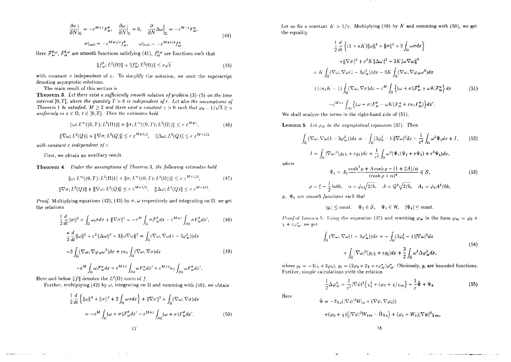$$
\frac{\partial \sigma}{\partial N}\Big|_{\Sigma} = -\varepsilon^{M+1} F_M^{\theta}, \quad \frac{\partial \omega}{\partial N}\Big|_{\Sigma} = 0, \quad \frac{\partial}{\partial N} \Delta \omega \Big|_{\Sigma} = -\varepsilon^{M-1} F_M^{\varphi},
$$
\n
$$
\sigma|_{t=0} = -\varepsilon^{M+1/2} f_M^{\theta}, \qquad \omega|_{t=0} = -\varepsilon^{M+1/2} f_M^{\varphi}.
$$
\n(44)

Here  $\mathcal{F}_{M}^{\theta,\varphi}$ ,  $F_{M}^{\theta,\varphi}$  are smooth functions satisfying (41),  $f_{M}^{\theta,\varphi}$  are functions such that

$$
||f_M^{\theta}; L^2(\Omega)|| + ||f_M^{\varphi}; L^2(\Omega)|| \le c\sqrt{\varepsilon}
$$
\n(45)

with constant  $c$  independent of  $\varepsilon$ . To simplify the notation, we omit the superscript denoting asymptotic solutions.

The main result of this section is

**Theorem 3.** *Let there exist a sufficiently smooth solution of problem* (3)-(5) *on the time interval* [0,*T*], where the quantity  $T > 0$  is independent of  $\varepsilon$ . Let also the assumptions of *Theorem* 1 *be satisfied,*  $M \ge 2$  *and there exist a constant*  $\gamma > 0$  *such that*  $\varphi_0 - 1/\sqrt{3} \ge \gamma$ *uniformly in*  $x \in \Omega$ ,  $t \in [0, T]$ *. Then the estimates hold* 

$$
\|\omega; L^{\infty}((0,T); L^2(\Omega))\| + \|\sigma; L^{\infty}((0,T); L^2(\Omega))\| \le c \, \varepsilon^{M+1},\tag{46}
$$

$$
\|\nabla\omega; L^2(Q)\| + \|\nabla\sigma; L^2(Q)\| \le c \, \varepsilon^{M+1/2}, \quad \|\Delta\omega; L^2(Q)\| \le c \, \varepsilon^{M-1/2}.
$$

with constant c independent of  $\varepsilon$ .

First, we obtain an auxiliary result.

#### **Theorem 4.** *Under the assumptions of Theorem* 3, *the following estimates hold*

$$
\|\omega; L^{\infty}((0,T); L^{2}(\Omega))\| + \|\sigma; L^{\infty}((0,T); L^{2}(\Omega))\| \le c \, \varepsilon^{M+1/2}, \qquad (47)
$$
  

$$
|\nabla\sigma; L^{2}(Q)|| + \|\nabla\omega; L^{2}(Q)\| \le c \, \varepsilon^{M+1/2}, \quad \|\Delta\omega; L^{2}(Q)\| \le c \, \varepsilon^{M-1/2}.
$$

*Proof.* Multiplying equations (42), (43) by  $\sigma$ ,  $\omega$  respectively and integrating on  $\Omega$ , we get the relations

$$
\frac{1}{2}\frac{d}{dt}\|\sigma\|^2 + \int_{\Omega}\omega_t\sigma dx + \|\nabla\sigma\|^2 = -\varepsilon^M \int_{\Omega}\sigma \mathcal{F}_M^{\theta}dx - \varepsilon^{M+1} \int_{\partial\Omega}\sigma F_M^{\theta}dx', \qquad (48)
$$

$$
\frac{\kappa}{2}\frac{d}{dt}\|\omega\|^2 + \varepsilon^2\|\Delta\omega\|^2 + 3\|\omega\nabla\omega\|^2 = \int_{\Omega}(\nabla\omega, \nabla\omega(1 - 3\varphi_M^2))dx
$$

$$
-3\int_{\Omega}(\nabla\omega, \nabla\varphi_M\omega^2)dx + \varepsilon\kappa_1 \int_{\Omega}(\nabla\omega, \nabla\sigma)dx \qquad (49)
$$

$$
-\varepsilon^M \int_{\Omega}\omega \mathcal{F}_M^{\varphi}dx + \varepsilon^{M+1} \int_{\partial\Omega}\omega F_M^{\varphi}dx' + \varepsilon^{M+2}\kappa_1 \int_{\partial\Omega}\omega F_M^{\theta}dx'.
$$

Here and below  $\|f\|$  denotes the  $L^2(\Omega)$  norm of  $f$ .

Further, multiplying (42) by  $\omega$ , integrating on  $\Omega$  and summing with (48), we obtain

$$
\frac{1}{2}\frac{d}{dt}\left\{\|\omega\|^2 + \|\sigma\|^2 + 2\int_{\Omega}\omega\sigma dx\right\} + \|\nabla\sigma\|^2 + \int_{\Omega}(\nabla\omega, \nabla\sigma)dx
$$

$$
= -\varepsilon^M \int_{\Omega}(\omega + \sigma) \mathcal{F}_M^{\theta} dx' - \varepsilon^{M+1} \int_{\partial\Omega}(\omega + \sigma) F_M^{\theta} dx'. \tag{50}
$$

Let us fix a constant  $K > 1/\gamma$ . Multiplying (49) by K and summing with (50), we get the equality

$$
\frac{1}{2}\frac{d}{dt}\left\{(1+\kappa K)\|\omega\|^2+\|\sigma\|^2+2\int_{\Omega}\omega\sigma dx\right\}
$$

$$
+\|\nabla\sigma\|^2+\varepsilon^2 K\|\Delta\omega\|^2+3K\|\omega\nabla\omega\|^2
$$

$$
=K\int_{\Omega}(\nabla\omega,\nabla\omega(1-3\varphi_M^2))dx-3K\int_{\Omega}(\nabla\omega,\nabla\varphi_M\omega^2)dx
$$

$$
+(\varepsilon\kappa_1K-1)\int_{\Omega}(\nabla\omega,\nabla\sigma)dx-\varepsilon^M\int_{\Omega}\left\{(\omega+\sigma)\mathcal{F}_M^{\theta}+\omega K\mathcal{F}_M^{\varphi}\right\}dx
$$
(51)
$$
-\varepsilon^{M+1}\int_{\partial\Omega}\left\{(\omega+\sigma)F_M^{\theta}-\omega K(F_M^{\varphi}+\varepsilon\kappa_1F_M^{\theta})\right\}dx'.
$$

We shall analyze the terms in the right-hand side of (51).

**Lemma 5.** Let  $\varphi_M$  be the asymptotical expansion (37). Then

$$
\int_{\Omega} (\nabla \omega, \nabla \omega (1 - 3\varphi_M^2)) dx = - \int_{\Omega} (3\varphi_0^2 - 1) |\nabla \omega|^2 dx - \frac{1}{\varepsilon^2} \int_{\Omega} \omega^2 \Psi_1 dx + I, \qquad (52)
$$

$$
I = \int_{\Omega} |\nabla \omega|^2 (g_1 \chi + \varepsilon g_2) dx + \frac{1}{\varepsilon^2} \int_{\Omega} \omega^2 (\Psi_1 (\Psi_2 + \varepsilon \Psi_3) + \varepsilon^2 \Psi_4) dx,
$$

*where*

$$
\Psi_1 = A_1 \frac{\cosh^3 \rho + A \cosh \rho + (1 + 2A)/\alpha}{(\cosh \rho + \alpha)^4} \in \mathcal{S},
$$
\n
$$
= \xi - \frac{1}{2} \ln 8b, \quad \alpha = \phi_0 \sqrt{2/b}, \quad A = Q^2 \sqrt{2/b}, \quad A_1 = \phi_0 A^2 / 6b,
$$
\n(53)

 $g_i$ ,  $\Psi_k$  are smooth functions such that

 $\overline{+}$ 

$$
|g_i| \le \text{const}, \quad \Psi_2 \in \mathcal{S}, \quad \Psi_3 \in \mathcal{H}, \quad |\Psi_4| \le \text{const}.
$$

*Proof* of Lennia 5. Using the expansion (37) and rewriting  $\varphi_M$  in the form  $\varphi_M = \varphi_0 +$  $\chi + \varepsilon \varphi_M^*$ , we get

$$
\int_{\Omega} (\nabla \omega, \nabla \omega (1 - 3\varphi_M^2)) dx = - \int_{\Omega} (3\varphi_0^2 - 1) |\nabla \omega|^2 dx
$$
\n
$$
+ \int_{\Omega} |\nabla \omega|^2 (g_1 \chi + \varepsilon g_2) dx + \frac{3}{2} \int_{\Omega} \omega^2 \Delta \varphi_M^2 dx,
$$
\n(54)

where  $g_1 = -3(\chi + 2\varphi_0)$ ,  $g_2 = (2\varphi_0 + 2\chi + \varepsilon\varphi_M^*)\varphi_M^*$ . Obviously,  $g_i$  are bounded functions. Further, simple calculations yield the relation

$$
\frac{1}{2}\Delta\varphi_M^2 = \frac{1}{\varepsilon^2}|\nabla\psi|^2\Big\{\chi_\eta^2 + (\varphi_0 + \chi)\chi_{\eta\eta}\Big\} + \frac{1}{\varepsilon}\tilde{\Psi} + \Psi_4.
$$
 (55)

Here

$$
I = \sum_{\lambda} \frac{1}{\lambda} \left( \frac{1}{\lambda} \sum_{i=1}^{N} \frac{1}{\lambda} \left( \frac{1}{\lambda} \sum_{i=1}^{N} \frac{1}{\lambda} \left( \frac{1}{\lambda} \sum_{i=1}^{N} \frac{1}{\lambda} \right) \right) \right)
$$

 $\tilde{\Psi} = -2\pi$   $(|\nabla v|^2 W + |\nabla v| |\nabla \phi|)$ 

$$
(\varphi_0+\chi)\big(|\nabla\psi|^2W_{1\eta\eta}-\Pi\chi_{\eta}\big)+(\varphi_1+W_1)|\nabla\psi|^2\chi_{\eta\eta},
$$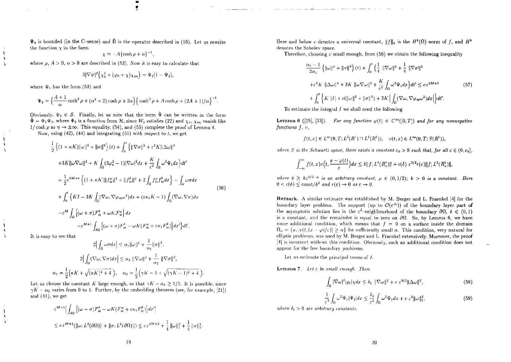$\Psi_4$  is bounded (in the C-sense) and  $\hat{\Pi}$  is the operator described in (16). Let us rewrite the function  $\chi$  in the form

$$
\chi = -A\{\cosh \rho + \alpha\}^{-1},
$$

where  $\rho$ ,  $A > 0$ ,  $\alpha > 0$  are described in (53). Now it is easy to calculate that

$$
3|\nabla\psi|^2\big\{\chi_\eta^2+(\varphi_0+\chi)\chi_{\eta\eta}\big\}=\Psi_1(1-\Psi_2),
$$

where  $\Psi_1$  has the form (53) and

 $\mathbf{h}$  $\downarrow$ 

 $\mathbf{r}$ 

$$
\Psi_2 = \left\{ \frac{A+1}{\alpha} \cosh^2 \rho + (\alpha^2 + 2) \cosh \rho + 2\alpha \right\} \left\{ \cosh^3 \rho + A \cosh \rho + (2A+1)/\alpha \right\}^{-1}.
$$

Obviously,  $\Psi_2 \in \mathcal{S}$ . Finally, let us note that the term  $\tilde{\Psi}$  can be written in the form  $\tilde{\Psi}=\Psi_1\Psi_3,$  where  $\Psi_3$  is a function from  $\cal H,$  since  $W_1$  satisfies (22) and  $\chi_\eta,\,\chi_{\eta\eta}$  vanish like 1/cosh  $\rho$  as  $\eta \to \pm \infty$ . This equality, (54), and (55) complete the proof of Lemma 4. Now, using (42), (44) and integrating (51) with respect to *t,* we get

$$
\frac{1}{2}\left\{(1+\kappa K)\|\omega\|^2+\|\sigma\|^2\right\}(t)+\int_0^t\left\{\|\nabla\sigma\|^2+\varepsilon^2 K\|\Delta\omega\|^2\right\}\n+3K\|\omega\nabla\omega\|^2+K\int_{\Omega}(3\varphi_0^2-1)|\nabla\omega|^2dx+\frac{K}{\varepsilon^2}\int_{\Omega}\omega^2\Psi_1dx\}dt'\n=\frac{1}{2}\varepsilon^{2M+1}\left\{(1+\kappa K)\|f_M^{\varphi}\|^2+\|f_M^{\theta}\|^2+2\int_{\Omega}f_M^{\varphi}f_M^{\theta}dx\right\}-\int_{\Omega}\omega\sigma dx\n+\int_0^t\left\{KI-3K\int_{\Omega}(\nabla\omega,\nabla\varphi_M\omega^2)dx+(\varepsilon\kappa_1K-1)\int_{\Omega}(\nabla\omega,\nabla\sigma)dx\right\}\n-\varepsilon^M\int_{\Omega}\left[(\omega+\sigma)F_M^{\theta}+\omega KF_M^{\varphi}\right]dx\n-\varepsilon^{M+1}\int_{\partial\Omega}\left[(\omega+\sigma)F_M^{\theta}-\omega K(F_M^{\varphi}+\varepsilon\kappa_1F_M^{\theta})\right]dx'\right\}dt',
$$

It is easy to see that

$$
2\Big|\int_{\Omega} \omega \sigma dx\Big| \leq \alpha_1 \|\omega\|^2 + \frac{1}{\alpha_1} \|\sigma\|^2,
$$
  

$$
2\Big|\int_{\Omega} (\nabla \omega, \nabla \sigma) dx\Big| \leq \alpha_2 \|\nabla \omega\|^2 + \frac{1}{\alpha_2} \|\nabla \sigma\|^2,
$$
  

$$
\alpha_1 = \frac{1}{2} \Big(\kappa K + \sqrt{(\kappa K)^2 + 4} \Big), \quad \alpha_2 = \frac{1}{2} \Big(\gamma K - 1 + \sqrt{(\gamma K - 1)^2 + 4} \Big).
$$

Let us choose the constant K large enough, so that  $\gamma K - \alpha_2 \ge 1/2$ . It is possible, since  $\gamma K - \alpha_2$  varies from 0 to 1. Further, by the embedding theorem (see, for example, [21]) and (41), we get

$$
\begin{aligned} &\varepsilon^{M+1}\Big|\int_{\partial\Omega}\left[(\omega+\sigma)F^{\theta}_M-\omega K\big(F^{\phi}_M+\varepsilon\kappa_1 F^{\theta}_M\big)\right]dx'\Big|\\ &\leq c\,\varepsilon^{M+1}(\|\omega;L^2(\partial\Omega)\|+\|\sigma;L^2(\partial\Omega)\|)\leq c\,\varepsilon^{2M+2}+\frac{1}{4}\,\|\omega\|_{1}^{2}+\frac{1}{4}\,\|\sigma\|_{1}^{2}.\end{aligned}
$$

Here and below c denotes a universal constant,  $\|f\|_k$  is the  $H^k(\Omega)$  norm of  $f$ , and  $H^k$ denotes the Sobolev space.

Therefore, choosing  $\varepsilon$  small enough, from (56) we obtain the following inequality

$$
\frac{\alpha_1 - 1}{2\alpha_1} \left\{ ||\omega||^2 + ||\sigma||^2 \right\} (t) + \int_0^t \left\{ \frac{1}{4} ||\nabla \omega||^2 + \frac{1}{4} ||\nabla \sigma||^2 \right\}
$$
  
+ $\varepsilon^2 K ||\Delta \omega||^2 + 3K ||\omega \nabla \omega||^2 + \frac{K}{\varepsilon^2} \int_\Omega \omega^2 \Psi_1 dx \right\} dt' \leq c \varepsilon^{2M+1}$  (57)  
+ $\int_0^t \left\{ K ||t| + c(||\omega||^2 + ||\sigma||^2) + 3K \left| \int_\Omega (\nabla \omega, \nabla \varphi_M \omega^2) dx \right| \right\} dt'.$ 

To estimate the integral / we shall need the following

**Lemma 6** ([25], [33]). For any function  $\varphi(t) \in C^{\infty}([0, T])$  and for any nonnegative *functions f, v,*

$$
f(t,x)\in L^{\infty}(0,T;L^{2}(R^{1})\cap L^{1}(R^{1})),\quad v(t,x)\in L^{\infty}(0,T;S(R^{1})),
$$

*where S is the Schwartz space, there exists a constant*  $\varepsilon_0 > 0$  such that, for all  $\varepsilon \in \{0, \varepsilon_0\}$ .

$$
\int_{-\infty}^{\infty} f(t,x)v\Big(t,\frac{x-\varphi(t)}{\varepsilon}\Big)dx \leq \delta \|f;L^1(R_x^1)\| + c(\delta) \varepsilon^{3/2} r(\varepsilon) \|f;L^2(R_x^1)\|,
$$

 $\geq k\varepsilon^{1/2-\mu}$  is an arbitrary constant,  $\mu \in (0,1/2)$ ;  $k>0$  is a constant. Here  $0 < c(\delta) \leq \text{const}/\delta^2$  and  $r(\varepsilon) \to 0$  as  $\varepsilon \to 0$ .

Remark. A similar estimate was established by M. Berger and L. Fraenkel [4] for the boundary layer problem. The support (up to  $\mathcal{O}(\varepsilon^{\infty})$ ) of the boundary layer part of the asymptotic solution lies in the  $\varepsilon^5$ -neighbourhood of the boundary  $\partial\Omega$ ,  $\delta \in (0,1)$ is a constant, and the remainder is equal to zero on  $\partial\Omega$ . So, by Lemma 6, we have some additional condition, which means that  $f = 0$  on a surface inside the domain  $\Omega_{\alpha} = \{x, |v(t, (x - \varphi)/\varepsilon)| \geq \alpha\}$  for sufficiently small  $\alpha$ . This condition, very natural for elliptic problems, was used by M. Berger and L. Fraenkel extensively. Moreover, the proof [4] is incorrect without this condition. Obviously, such an additional condition does not appear for the free boundary problems.

Let us estimate the principal terms of /.

**Lemma 7.** Let  $\varepsilon$  be small enough. Then

$$
\int_{\Omega} |\nabla \omega|^2 |g_1| \chi dx \le \delta_1 \| \nabla \omega \|^2 + c \, \varepsilon^{9/2} \| \Delta \omega \|^2, \tag{58}
$$

$$
\frac{1}{\varepsilon^2} \int_{\Omega} \omega^2 \Psi_1 |\Psi_2| dx \le \frac{\delta_2}{\varepsilon^2} \int_{\Omega} \omega^2 \Psi_1 dx + c \varepsilon^2 ||\omega||_1^2,
$$
\n(59)

*where*  $\delta_i > 0$  are arbitrary constants.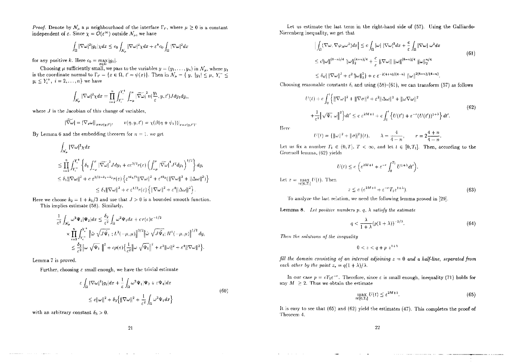*Proof.* Denote by  $\mathcal{N}_\mu$  a  $\mu$  neighbourhood of the interface  $\Gamma_t$ , where  $\mu \geq 0$  is a constant independent of  $\varepsilon$ . Since  $\chi = \mathcal{O}(\varepsilon^{\infty})$  outside  $\mathcal{N}_n$ , we have

$$
\int_{\Omega} |\nabla \omega|^2 |g_1| \chi dx \leq c_0 \int_{\mathcal{N}_{\mu}} |\nabla \omega|^2 \chi dx + \varepsilon^k c_0 \int_{\Omega} |\nabla \omega|^2 dx
$$

for any positive k. Here  $c_0 = \max |g_1|$ .

Choosing  $\mu$  sufficiently small, we pass to the variables  $y = (y_1, \ldots, y_n)$  in  $\mathcal{N}_\mu$ , where  $y_1$ is the coordinate normal to  $\Gamma_{t'} = \{x \in \Omega, t' = \psi(x)\}\$ . Then in  $\mathcal{N}_{\mu} = \{y, |y_1| \leq \mu, Y^{\perp}_{\tau} \leq \mathcal{N}_{\tau}\}$  $y_i \leq Y_i^+, i = 2, ..., n$ } we have

$$
\int_{\mathcal{N}_{\mu}}|\nabla\omega|^2\chi dx=\prod_{i=2}^n\int_{Y_i^-}^{Y_i^+}\int_{-\mu}^{\mu}|\widetilde{\nabla\omega}|^2v(\frac{y_1}{\varepsilon},y,t')Jdy_1dy_i,
$$

where  $J$  is the Jacobian of this change of variables,

$$
|\widetilde{\nabla \omega}|=|\nabla_x \omega||_{x=x(y,t')}, \qquad v(\eta,y,t')=\chi(\beta(\eta+\psi_1))|_{x=x(y,t')}.
$$

By Lemma 6 and the embedding theorem for  $n = 1$ , we get

$$
\int_{N_{\mu}} |\nabla \omega|^2 \chi dx
$$
\n
$$
\leq \prod_{i=2}^n \int_{Y_i^-}^{Y_i^+} \left\{ \delta_1 \int_{-\mu}^{\mu} |\widetilde{\nabla \omega}|^2 J dy_1 + c \varepsilon^{3/2} r(\varepsilon) \left( \int_{-\mu}^{\mu} |\widetilde{\nabla \omega}|^4 J^2 dy_1 \right)^{1/2} \right\} dy,
$$
\n
$$
\leq \delta_1 ||\nabla \omega||^2 + c \varepsilon^{3/2 - k_1 - k_2} r(\varepsilon) \left\{ \varepsilon^{(k_1/3)} ||\nabla \omega||^2 + \varepsilon^{4k_2} (||\nabla \omega||^2 + ||\Delta \omega||^2) \right\}
$$
\n
$$
\leq \delta_1 ||\nabla \omega||^2 + c \varepsilon^{1/2} r(\varepsilon) \left\{ ||\nabla \omega||^2 + \varepsilon^4 ||\Delta \omega||^2 \right\}.
$$

Here we choose  $k_2 = 1 + k_1/3$  and use that  $J > 0$  is a bounded smooth function. This implies estimate (58). Similarly,

$$
\begin{aligned} \frac{1}{\varepsilon^2}\int_{\mathcal{N}_\mu}\omega^2\Psi_1|\Psi_2|dx &\leq \frac{\delta_2}{\varepsilon^2}\int_{\Omega}\omega^2\Psi_1dx+cr(\varepsilon)\varepsilon^{-1/2}\\ &\times\prod_{i=2}^n\int_{\mathcal{N}_i^-}^{\mathcal{N}_i^+}\left\|\hat{\omega}\sqrt{J\hat{\Psi_1}}\ ;L^2(-\mu,\mu)\right\|^{3/2}\left\|\hat{\omega}\sqrt{J\hat{\Psi_1}}\ ;H^1(-\mu,\mu)\right\|^{1/2}dy,\\ &\leq \frac{\delta_2}{\varepsilon^2}\left\|\omega\sqrt{\Psi_1}\ \right\|^2+c\rho(\varepsilon)\Big\{\frac{1}{\varepsilon^2}\left\|\omega\sqrt{\Psi_1}\right\|^2+\varepsilon^2\|\omega\|^2+\varepsilon^4\|\nabla\omega\|^2\Big\}. \end{aligned}
$$

Lemma 7 is proved.

المتوارد والمستعين وسيستهد والمتعاد والمتستعين

Further, choosing *£* small enough, we have the trivial estimate

$$
\varepsilon \int_{\Omega} |\nabla \omega|^2 |g_2| dx + \frac{1}{\varepsilon} \int_{\Omega} \omega^2 \Psi_1 |\Psi_3 + \varepsilon \Psi_4| dx
$$
  

$$
\leq c ||\omega||^2 + \delta_3 \left\{ ||\nabla \omega||^2 + \frac{1}{\varepsilon^2} \int_{\Omega} \omega^2 \Psi_1 dx \right\}
$$

the contract of the contract of the

**(60)**

with an arbitrary constant  $\delta_3 > 0$ .

Let us estimate the last term in the right-hand side of (57). Using the Galliardo-Niercnberg inequality, we get that

$$
\left| \int_{\Omega} (\nabla \omega, \nabla \varphi_M \omega^2) dx \right| \leq c \int_{\Omega} |\omega| |\nabla \omega|^2 dx + \frac{c}{\varepsilon} \int_{\Omega} |\nabla \omega| \omega^2 dx
$$
\n
$$
\leq c \|\omega\|^{(8-n)/4} \|\omega\|_{2}^{(4+n)/4} + \frac{c}{\varepsilon} \|\nabla \omega\| \|\omega\|^{(8-n)/4} \|\omega\|_{2}^{n/4}
$$
\n
$$
\leq \delta_4 \{\|\nabla \omega\|^2 + \varepsilon^2 \|\omega\|_{2}^2\} + c \varepsilon^{-2(4+n)/(4-n)} \|\omega\|^{2(8-n)/(4-n)}.
$$
\n(61)

Choosing reasonable constants  $\delta_i$  and using (58)–(61), we can transform (57) as follows

$$
U(t) + c \int_0^t \left\{ \|\nabla \omega\|^2 + \|\nabla \sigma\|^2 + \varepsilon^2 \|\Delta \omega\|^2 + \|\omega \nabla \omega\|^2 + \|\omega \nabla \omega\|^2 + \frac{1}{\varepsilon^2} \|\sqrt{\Psi_1} \omega\|^2 \right\} dt' \leq c \varepsilon^{2M+1} + c \int_0^t \left\{ U(t') + \varepsilon^{-r} (U(t'))^{1+\lambda} \right\} dt',
$$
\n(62)

Here

$$
U(t) = {\|\omega\|^2 + \|\sigma\|^2}(t), \qquad \lambda = \frac{4}{4-n}, \qquad r = 2\frac{4+n}{4-n}.
$$

Let us fix a number  $T_1 \in (0,T], T < \infty$ , and let  $t \in [0,T_1].$  Then, according to the Gromioll lemma, (62) yields

$$
U(t) \le c \left( \varepsilon^{2M+1} + \varepsilon^{-r} \int_0^{T_1} U^{1+\lambda} dt' \right).
$$

Let  $z = \max_{t \in [0, T_1]} U(t)$ . Then

 $z < c$  ( $\varepsilon^{2M+1} + \varepsilon^{-r} T_1 z^{1+\lambda}$ ) **(63)**

To analyze the last relation, we need the following lemma proved in [29].

Lemma 8. Let positive numbers p,  $q$ ,  $\lambda$  satisfy the estimate

$$
q < \frac{\lambda}{1 + \lambda} (p(1 + \lambda))^{-1/\lambda}.\tag{64}
$$

*Then tin: solutions of the inequality*

and the second con-

 $0 < z < q + p \; z^{1 + \lambda}$ 

*fill the domain consisting of an interval adjoining z —* 0 *and a half-line, separated from each other by the point*  $z_n = q(1 + \lambda)/\lambda$ *.* 

In our case  $p = cT_1 \varepsilon^{-r}$ . Therefore, since  $\varepsilon$  is small enough, inequality (71) holds for any  $M > 2$ . Thus we obtain the estimate

$$
\max_{t \in [0,T_1]} U(t) \le \varepsilon^{2M+1}.\tag{65}
$$

.<br>1980 - Paul II, amerikan mengantang tersebut pada tahun mengentukan pada tersebut dan mengentukan pada tahun 1

It is easy to see that (65) and (62) yield the estimates (47). This completes the proof of Theorem 4.

**22**

21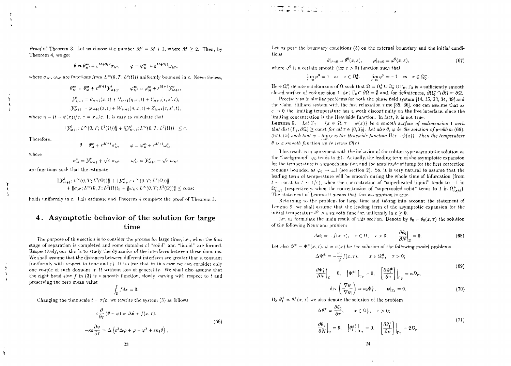*Proof* of Theorem 3. Let us choose the number  $M' = M + I$ , where  $M \ge 2$ . Then, by Theorem 4, we get

 $\Delta_{\rm{eff}}=100$ 

$$
\theta = \theta_{M'}^{\mathbf{as}} + \varepsilon^{M+3/2} \sigma_{M'}, \qquad \varphi = \varphi_{M'}^{\mathbf{as}} + \varepsilon^{M+3/2} \omega_{M'},
$$

where  $\sigma_{M'}$ ,  $\omega_{M'}$  are functions from  $L^{\infty}(0,T; L^2(\Omega))$  uniformly bounded in  $\varepsilon$ . Nevertheless,

$$
\theta_{M'}^{\text{as}} = \theta_{M}^{\text{as}} + \varepsilon^{M+1} \mathcal{Y}_{M+1}^{\theta}, \qquad \varphi_{M'}^{\text{as}} = \varphi_{M}^{\text{as}} + \varepsilon^{M+1} \mathcal{Y}_{M+1}^{\varphi},
$$
  

$$
\mathcal{Y}_{M+1}^{\theta} = \theta_{M+1}(x, t) + U_{M+1}(\eta, x, t) + Y_{M+1}(\tau, x', t),
$$
  

$$
\mathcal{Y}_{M+1}^{\varphi} = \varphi_{M+1}(x, t) + W_{M+1}(\eta, x, t) + Z_{M+1}(\tau, x', t),
$$

where  $\eta = (t - \psi(x))/\varepsilon$ ,  $\tau = x_k/\varepsilon$ . It is easy to calculate that

$$
||\mathcal{Y}^{\theta}_{M+1} ; L^{\infty}(0,T; L^{2}(\Omega))|| + ||\mathcal{Y}^{\rho}_{M+1} ; L^{\infty}(0,T; L^{2}(\Omega))|| \leq c.
$$

Therefore,

 $\theta = \theta_M^{as} + \varepsilon^{M+1} \sigma_M^*, \qquad \varphi = \varphi_M^{as} + \varepsilon^{M+1} \omega_M^*,$ 

where

Þ.

 $\sigma_{\mathbf{u}}^* = \mathcal{Y}_{\mathbf{u}+1}^{\theta} + \sqrt{\varepsilon} \sigma_{\mathbf{u}'}, \qquad \omega_{\mathbf{u}'}^* = \mathcal{Y}_{\mathbf{u}+1}^{\varphi} + \sqrt{\varepsilon} \omega_{\mathbf{u}'}$ 

are functions such that the estimate

 $||\mathcal{Y}^{\theta}_{M+1}; L^{\infty}(0,T; L^{2}(\Omega))|| + ||\mathcal{Y}^{\theta}_{M+1}; L^{\infty}(0,T; L^{2}(\Omega))||$  $+ \|\sigma_{M'}; L^{\infty}(0,T; L^{2}(\Omega))\| + \|\omega_{M'}; L^{\infty}(0,T; L^{2}(\Omega))\| \leq \text{const.}$ 

holds uniformly in *e.* This estimate and Theorem 4 complete the proof of Theorem 3.

# 4 . Asymptotic behavior of the solution for large time

The purpose of this section is to consider the process for large time, i.e., when the first stage of separation is completed and some domains of "'solid" and "liquid" are formed. Respectively, our aim is to study the dynamics of the interfaces between these domains. We shall assume that the distances between different interfaces are greater than a constant (uniformly with respect to time and *e).* It. is clear that in this case we can consider only one couple of such domains in  $\Omega$  without loss of generality. We shall also assume that the right hand side  $f$  in  $(3)$  is a smooth function, slowly varying with respect to  $t$  and preserving the zero mean value:

$$
\int_{\Omega} f dx = 0.
$$

Changing the time scale  $t = \tau/\varepsilon$ , we rewrite the system (3) as follows

$$
\varepsilon \frac{\partial}{\partial r} (\theta + \varphi) = \Delta \theta + f(x, \tau),
$$
  

$$
-\kappa \varepsilon \frac{\partial \varphi}{\partial \tau} = \Delta \left( \varepsilon^2 \Delta \varphi + \varphi - \varphi^3 + \varepsilon \kappa_1 \theta \right),
$$
 (66)

Let us pose the boundary conditions (5) on the external boundary and the initial conditions

$$
\theta|_{\tau=0} = \theta^0(x,\varepsilon), \qquad \varphi|_{\tau=0} = \varphi^0(x,\varepsilon), \qquad (67)
$$

where  $\varphi^0$  is a certain smooth (for  $\varepsilon > 0$ ) function such that

$$
\lim_{\varepsilon \to 0} \varphi^0 = 1 \quad \text{as} \quad x \in \Omega_0^+, \qquad \lim_{\varepsilon \to 0} \varphi^0 = -1 \quad \text{as} \quad x \in \Omega_0^-.
$$

Here  $\Omega_0^{\pm}$  denote subdomains of  $\Omega$  such that  $\Omega = \Omega_0^{\pm} \cup \Omega_0^- \cup \Gamma_0$ . In is a sufficiently smooth closed surface of codimension 1. Let  $\Gamma_0 \cap \partial \Omega = \emptyset$  and, for definiteness,  $\partial \Omega_0^- \cap \partial \Omega = \partial \Omega$ .

Precisely as in similar problems for both the phase field system [14, 15, 33, 34, 39] and the Calm Hilliard system with the fast relaxation time [35, 36], one can assume that as  $\varepsilon \to 0$  the limiting temperature has a weak discontinuity on the free interface, since the limiting concentration is the Heaviside function. In fact, it is not true.

**Lemma 9.** Let  $\Gamma$ <sub>T</sub>  $= \{x \in \Omega, x = \psi(x)\}$  be a smooth surface of codimension 1 such *that* dist.  $(\Gamma_T, \partial \Omega) \ge \text{const}$  *for all*  $T \in [0, T_0]$ *. Let also*  $\theta$ *,*  $\varphi$  *be the solution of problem* (66). (67), (5) such that  $w - \lim_{\epsilon \to 0} \varphi$  is the Heaviside function  $H(\tau - \psi(x))$ . Then the temperature  $\theta$  is a smooth function up to terms  $\mathcal{O}(\varepsilon)$ .

This result is in agreement with the behavior of the soliton type asymptotic solution as the "background"  $\varphi_0$  tends to  $\pm 1$ . Actually, the leading term of the <mark>asymptotic expansion</mark> for the temperature is a smooth function and the amplitude of jump for the first correction remains bounded as  $\varphi_0 \to \pm 1$  (see section 2). So, it is very natural to assume that the leading term of temperature will be smooth during the whole time of bifurcation (from  $t \sim$  const to  $t \sim 1/\varepsilon$ ), when the concentration of "superheated liquid" tends to  $-1$  in  $\Omega_{r,t}^-$  (respectively, when the concentration of "supercooled solid" tends to 1 in  $\Omega_{r,t,t}^+$ ). The statement of Lemma 9 means that this assumption is true.

Returning to the problem for large time and taking into account the statement of Lemma 9, we shall assume that the leading term of the asymptotic expansion for the initial temperature  $\theta^0$  is a smooth function uniformly in  $\varepsilon \geq 0$ .

Let us formulate the main result of this section. Denote by  $\theta_{\rm D} = \theta_0(x, T)$  the solution of the following Neumann problem

$$
\Delta\theta_0 = -f(x,\tau), \quad x \in \Omega, \quad \tau > 0; \qquad \frac{\partial \theta_0}{\partial N}\Big|_{\Sigma} = 0. \tag{68}
$$

Let also  $\Phi_1^{\pm} = \Phi_1^{\pm}(x, \tau)$ ,  $\psi = \psi(x)$  be the solution of the following model problems

$$
\Delta \Phi_{1}^{\pm} = -\frac{\kappa_{1}}{2} f(x, r), \qquad x \in \Omega_{T}^{\pm}, \quad \tau > 0;
$$
\n
$$
\frac{\partial \Phi_{1}^{+}}{\partial N}\Big|_{\Sigma} = 0, \quad \left[\Phi_{1}^{\pm}\right]\Big|_{\Gamma_{T}} = 0, \quad \left[\frac{\partial \Phi_{1}^{\pm}}{\partial \nu}\right]\Big|_{\Gamma_{T}} = \kappa D_{\nu},
$$
\n
$$
\left(\nabla \psi\right) \qquad \dots
$$
\n
$$
(69)
$$

$$
\operatorname{div}\left(\frac{\nabla \psi}{|\nabla \psi|}\right) = \kappa_2 \dot{\Phi}_1^+, \qquad \psi|_{\Gamma_0} = 0. \tag{70}
$$

By  $\theta_1^{\pm} = \theta_1^{\pm}(x,T)$  we also denote the solution of the problem

$$
\Delta \theta_1^{\pm} = \frac{\partial \theta_0}{\partial r}, \qquad x \in \Omega_r^{\pm}, \quad \tau > 0;
$$
  

$$
\frac{\partial \theta_1^-}{\partial N}\Big|_{\Sigma} = 0, \quad \left[\theta_1^{\pm}\right]\Big|_{\Gamma_T} = 0, \quad \left[\frac{\partial \theta_1^{\pm}}{\partial \nu}\right]\Big|_{\Gamma_T} = 2D_{\nu}.
$$
 $(71)$ 

 $\pm$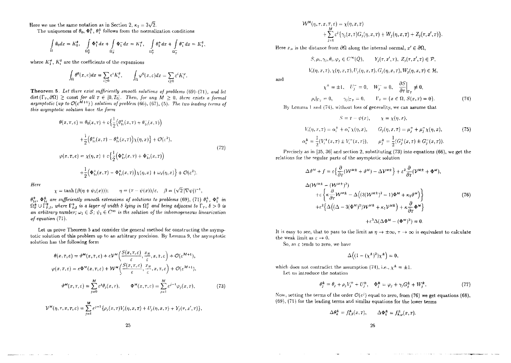Here we use the same notation as in Section 2,  $\kappa_2 = 3\sqrt{2}$ .

The uniqueness of  $\theta_0$ ,  $\Phi_1^{\pm}$ ,  $\theta_1^{\pm}$  follows from the normalization conditions

$$
\int\limits_{\Omega} \theta_0 dx = K_0^{\theta}, \quad \int\limits_{\Omega^+} \Phi_1^+ dx + \int\limits_{\Omega^-_T} \Phi_1^- dx = K_1^{\varphi}, \quad \int\limits_{\Omega^+_T} \theta_1^+ dx + \int\limits_{\Omega^-_T} \theta_1^- dx = K_1^{\theta}
$$

where  $K_1^{\varphi}$ ,  $K_i^{\theta}$  are the coefficients of the expansions

$$
\int_{\Omega} \theta^0(x,\varepsilon) dx = \sum_{i\geq 0} \varepsilon^i K_i^{\theta}, \qquad \int_{\Omega} \varphi^0(x,\varepsilon) dx = \sum_{i\geq 0} \varepsilon^i K_i^{\varphi}
$$

**Theorem 5.** Lef *there exist sufficiently smooth solutions oj problems* (69)-(71), *and let*  $dist(\Gamma_T, \partial \Omega) \ge$  const for all  $T \in [0, T_0]$ . Then, for any  $M \geq 0$ , there exists a formal  $a$ symptotic (up to  $O(e^{M+1})$ ) solution of problem (66), (67), (5). The two leading terms of *this asymptotic solution have the form*

$$
\theta(x,\tau,\varepsilon) = \theta_0(x,\tau) + \varepsilon \Big\{ \frac{1}{2} \Big( \theta_{1c}^+(x,\tau) + \theta_{1c}^-(x,\tau) \Big) \n+ \frac{1}{2} \Big( \theta_{1c}^+(x,\tau) - \theta_{1c}^+(x,\tau) \Big) \chi(\eta,x) \Big\} + \mathcal{O}(\varepsilon^2),
$$
\n
$$
\varphi(x,\tau,\varepsilon) = \chi(\eta,x) + \varepsilon \Big\{ \frac{1}{2} \Big( \Phi_{1c}^+(x,\tau) + \Phi_{1c}^-(x,\tau) \Big) \n+ \frac{1}{2} \Big( \Phi_{1c}^+(x,\tau) - \Phi_{1c}^+(x,\tau) \Big) \chi(\eta,x) + \omega_1(\eta,x) \Big\} + \mathcal{O}(\varepsilon^2).
$$
\n(72)

*Here*

العرومين المرابطين المتوسي

$$
\gamma=\tanh\left(\beta(\eta+\psi_1(x))\right); \qquad \eta=(\tau-\psi(x))/\varepsilon, \quad \beta=(\sqrt{2}\,|\nabla\psi|)^{-1},
$$

 $\theta_{1c}^{\pm}$ ,  $\Phi_{1c}^{\pm}$  are sufficiently smooth extensions of solutions to problems (69), (71)  $\theta_1^{\pm}$ ,  $\Phi_1^{\pm}$  in  $\Omega^{\pm}_{\tau}$  U  $\Gamma^{\mp}_{\tau,s}$ *, where*  $\Gamma^{\mp}_{\tau,s}$  is a layer of width  $\delta$  lying in  $\Omega^{\pm}_{\tau}$  and being adjacent to  $\Gamma_{\tau}$ ,  $\delta > 0$  is *an arbitrary number;*  $\omega_1 \in S$ ;  $\psi_1 \in C^{\infty}$  is the solution of the inhomogeneous linearization *of equation* (71).

Let us prove Theorem 5 and consider the general method for constructing the asymptotic solution of this problem up to an arbitrary precision. By Lemma 9, the asymptotic solution has the following form

$$
\theta(x,\tau,\varepsilon) = \vartheta^{M}(x,\tau,\varepsilon) + \varepsilon \mathcal{V}^{M}\bigg(\frac{S(x,\tau,\varepsilon)}{\varepsilon},\frac{x_{N}}{\varepsilon},x,\tau,\varepsilon\bigg) + \mathcal{O}(\varepsilon^{M+1}),
$$
  

$$
\varphi(x,\tau,\varepsilon) = \varepsilon \Phi^{M}(x,\tau,\varepsilon) + \mathcal{W}^{M}\bigg(\frac{S(x,\tau,\varepsilon)}{\varepsilon},\frac{x_{N}}{\varepsilon},x,\tau,\varepsilon\bigg) + \mathcal{O}(\varepsilon^{M+1}),
$$
  

$$
\vartheta^{M}(x,\tau,\varepsilon) = \sum_{j=0}^{M} \varepsilon^{j} \theta_{j}(x,\tau), \qquad \Phi^{M}(x,\tau,\varepsilon) = \sum_{j=1}^{M} \varepsilon^{j-1} \varphi_{j}(x,\tau), \qquad (73)
$$

$$
\mathcal{V}^M(\eta,\tau,x,\tau,\varepsilon)=\sum_{j=1}^M \varepsilon^{j-1}\{\rho_j(x,\tau)V_j(\eta,x,\tau)+U_j(\eta,x,\tau)+Y_j(\tau,x',\tau)\},
$$

 $\ddot{\phantom{a}}$ 

and the state of

$$
\mathcal{W}^{M}(\eta,\tau,x,\tau,\varepsilon) = \chi(\eta,x,\tau) + \sum_{j=1}^{M} \varepsilon^{j} \{ \gamma_{j}(x,\tau) G_{j}(\eta,x,\tau) + W_{j}(\eta,x,\tau) + Z_{j}(\tau,x',\tau) \}
$$

Here  $x_N$  is the distance from  $\partial\Omega$  along the internal normal,  $x' \in \partial\Omega$ ,

$$
S, \rho_i, \gamma_j, \theta_i, \varphi_j \in C^{\infty}(\tilde{Q}), \qquad Y_j(\tau, x', \tau), Z_j(\tau, x', \tau) \in \mathcal{P},
$$

 $V_i(\eta, x, \tau), \chi(\eta, x, \tau), U_i(\eta, x, \tau), G_i(\eta, x, \tau), W_i(\eta, x, \tau) \in \mathcal{H},$ 

and

$$
\chi^{\pm} = \pm 1, \quad U_j^- = 0, \quad W_j^- = 0, \quad \frac{\partial S}{\partial r}\Big|_{\Gamma_T} \neq 0, \n\rho_i|_{\Gamma_T} = 0, \quad \gamma_j|_{\Gamma_T} = 0, \quad \Gamma_T = \{x \in \Omega, S(x, r) = 0\}.
$$
\n(74)

By Lemma 1 and (74), without loss of generality, we can assume that

$$
S = \tau - \psi(x), \qquad \chi = \chi(\eta, x),
$$
  
\n
$$
V_i(\eta, x, \tau) = \alpha_i^+ + \alpha_i^- \chi(\eta, x), \qquad G_j(\eta, x, \tau) = \mu_j^+ + \mu_j^- \chi(\eta, x),
$$
  
\n
$$
\alpha_i^{\pm} = \frac{1}{2} (V_i^+(\pi, \tau) \pm V_i^-(x, \tau)), \qquad \mu_j^{\pm} = \frac{1}{2} (G_j^+(\pi, \tau) \pm G_j^-(x, \tau)).
$$
\n(75)

Precisely as in  $[35, 36]$  and section 2, substituting  $(73)$  into equations (66), we get the relations for the regular parts of the asymptotic solution

$$
\Delta \theta^{M} + f = \varepsilon \Big\{ \frac{\partial}{\partial r} (W^{M\pm} + \vartheta^{M}) - \Delta V^{M\pm} \Big\} + \varepsilon^{2} \frac{\partial}{\partial r} (V^{M\pm} + \Phi^{M}),
$$
  
\n
$$
\Delta (W^{M\pm} - (W^{M\pm})^{3})
$$
  
\n
$$
+ \varepsilon \Big\{ \kappa \frac{\partial}{\partial r} W^{M\pm} - \Delta \Big( (3(W^{M\pm})^{2} - 1) \Phi^{M} + \kappa_{1} \vartheta^{M} \Big) \Big\}
$$
  
\n
$$
+ \varepsilon^{2} \Big\{ \Delta \Big( (\Delta - 3(\Phi^{M})^{2}) W^{M\pm} + \kappa_{1} V^{M\pm} \Big) + \kappa \frac{\partial}{\partial r} \Phi^{M} \Big\}
$$
  
\n
$$
+ \varepsilon^{3} \Delta (\Delta \Phi^{M} - (\Phi^{M})^{3}) = 0.
$$
  
\n(76)

It is easy to see, that to pass to the limit as  $\eta\to\pm\infty, \, \tau\to\infty$  is equivalent to calculate the weak limit as  $\varepsilon \to 0$ .

So, as  $\varepsilon$  tends to zero, we have

$$
\Delta\left((1-(\chi^{\pm})^2)\chi^{\pm}\right)=0,
$$

which does not contradict the assumption (74), i.e.,  $\chi^{\pm} = \pm 1$ . Let us introduce the notation

$$
\theta_j^{\pm} = \theta_j + \rho_j V_j^{\pm} + U_j^{\pm}, \quad \Phi_j^{\pm} = \varphi_j + \gamma_j G_j^{\pm} + W_j^{\pm}.
$$
 (77)

.<br>1996 - Jan Berlin, Amerikaansk politikus († 1908)

Now, setting the terms of the order  $\mathcal{O}(\varepsilon^j)$  equal to zero, from (76) we get equations (68), (69), (71) for the leading terms and similar equations for the lower terms

$$
\Delta \theta_k^{\pm} = f_{k,\theta}^{\pm}(x,T), \qquad \Delta \Phi_k^{\pm} = f_{k,\varphi}^{\pm}(x,T).
$$

 $\mathcal{L}^{\mathcal{L}}$  and  $\mathcal{L}^{\mathcal{L}}$  and  $\mathcal{L}^{\mathcal{L}}$  and  $\mathcal{L}^{\mathcal{L}}$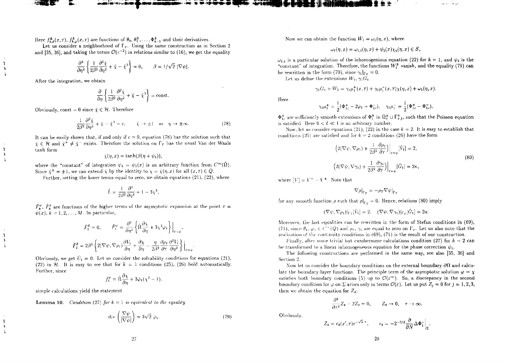Here  $f_{k,\theta}^{\pm}(x,T)$ ,  $f_{k,\theta}^{\pm}(x,T)$  are functions of  $\theta_0, \theta_1^{\pm}, \ldots, \Phi_{k-1}^{\pm}$  and their derivatives.

**(l\*\*l«l t-l.il**

Let us consider a neighborhood of  $\Gamma$ <sup>T</sup>*T*. Using the same construction as in Section 2 and [35, 36], and taking the terms  $\mathcal{O}(\varepsilon^{-2})$  in relations similar to (16), we get the equality

$$
\frac{\partial^2}{\partial \eta^2} \left\{ \frac{1}{2\beta^2} \frac{\partial^2 \tilde{\chi}}{\partial \eta^2} + \tilde{\chi} - \tilde{\chi}^3 \right\} = 0, \qquad \beta = 1/\sqrt{2} \ |\nabla \psi|.
$$

After the integration, we obtain

 $\mathbf{\hat{u}}$ 

 $\mathbf t$ 

$$
\frac{\partial}{\partial \eta} \left\{ \frac{1}{2\beta^2} \frac{\partial^2 \check{\chi}}{\partial \eta^2} + \check{\chi} - \check{\chi}^3 \right\} = \text{const.}
$$

Obviously, const = 0 since  $\dot{y} \in \mathcal{H}$ . Therefore

$$
\frac{1}{2\beta^2} \frac{\partial^2 \tilde{\chi}}{\partial \eta^2} + \dot{\chi} - \dot{\chi}^3 = c, \qquad \dot{\chi} \to \pm 1 \quad \text{as} \quad \eta \to \pm \infty. \tag{78}
$$

It can be easily shown that, if and only if  $c = 0$ , equation (78) has the solution such that  $\check{\chi} \in \mathcal{H}$  and  $\check{\chi}^+ \neq \check{\chi}^-$  exists. Therefore the solution on  $\Gamma_T$  has the usual Van der Waals tanh form

$$
\tilde{\chi}(\eta, x) = \tanh(\beta(\eta + \psi_1))
$$

where the "constant" of integration  $\psi_1 = \psi_1(x)$  is an arbitrary function from  $C^{\infty}(\bar{\Omega})$ . Since  $\tilde{\chi}^{\pm} = \pm 1$ , we can extend  $\tilde{\chi}$  by the identity to  $\chi = \tilde{\chi}(\eta, x)$  for all  $(x, \tau) \in \bar{Q}$ .

Further, setting the lower terms equal to zero, we obtain equations  $(21)$ ,  $(22)$ , where

$$
\hat{L} = \frac{1}{2\beta^2} \frac{\partial^2}{\partial \eta^2} + 1 - 3\chi^2,
$$

 $\tilde{F}^{\varphi}_{\mu}$ ,  $\tilde{F}^{\varphi}_{\mu}$  are functions of the higher terms of the asymptotic expansion at the point  $\tau =$  $\psi(x), k = 1,2,\ldots, M.$  In particular,

$$
\tilde{F}_1^{\theta} = 0, \qquad \tilde{F}_1^{\varphi} = \frac{\partial^2}{\partial \eta^2} \left\{ \hat{\Pi} \frac{\partial \chi}{\partial \eta} + 3\chi^2 \varphi_1 \right\} \Big|_{\tau = \psi},
$$
\n
$$
\tilde{F}_2^{\theta} = 2\beta^2 \left\{ 2(\nabla \psi, \nabla \rho_1) \frac{\partial V_1}{\partial \eta} + \frac{\partial \chi}{\partial \eta} - \frac{\eta}{2\beta^2} \frac{\partial \rho_1}{\partial \tau} \frac{\partial^2 V_1}{\partial \eta^2} \right\} \Big|_{\tau = \psi}.
$$

Obviously, we get  $\hat{U}_1 = 0$ . Let us consider the solvability conditions for equations (21), (22) in  $\mathcal{H}$ . It is easy to see that for  $k = 1$  conditions (25), (26) hold automatically. Further, since

$$
\dot{f}_1^{\varphi} = \hat{\Pi} \frac{\partial \chi}{\partial \eta} + 3\tilde{\varphi}_1(\chi^2 - 1),
$$

simple calculations yield the statement

**Lemma 10.** *Condition* (27) for  $k = 1$  is equivalent to the equality

$$
\operatorname{div}\left(\frac{\nabla\psi}{|\nabla\psi|}\right) = 3\sqrt{2}\,\,\dot{\varphi}_1.\tag{79}
$$

Now we can obtain the function  $W_1 = \omega_1(n, x)$ , where

$$
\omega_1(\eta, x) = \omega_{1,1}(\eta, x) + \psi_2(x)\chi_{\eta}(\eta, x) \in \mathcal{S},
$$

 $\omega_1$  is a particular solution of the inhomogenious equation (22) for  $k = 1$ , and  $\psi_2$  is the "constant" of integration. Therefore, the functions  $W_1^{\pm}$  vanish, and the equality (79) can be rewritten in the form (70), since  $\gamma_1|_{\Gamma_T}=0$ .

Let us define the extensions  $W_1$ ,  $\gamma_1 G_1$ 

$$
\gamma_1 G_1 + W_1 = \gamma_1 \mu_1^+(x, \tau) + \gamma_1 \mu_1^-(x, \tau) \chi(\eta, x) + \omega_1(\eta, x)
$$

Here

$$
\gamma_1 \mu_1^+ = \frac{1}{2} (\Phi_{1c}^+ - 2 \varphi_1 + \Phi_{1c}^-), \quad \gamma_1 \mu_1^- = \frac{1}{2} (\Phi_{1c}^+ - \Phi_{1c}^-),
$$

 $\Phi_{1c}^{\pm}$  are sufficiently smooth extensions of  $\Phi_{1c}^{\pm}$  in  $\Omega_{\pm}^{\pm} \cup \Gamma_{\pm}^{\mp}$ , such that the Poisson equation is satisfied. Here  $0 < \delta \ll 1$  is an arbitrary number.

Now, let us consider equations (21), (22) in the case  $k = 2$ . It is easy to establish that conditions (25) are satisfied and for  $k = 2$  conditions (26) have the form

$$
\left(2(\nabla\psi,\nabla\rho_{1})+\frac{1}{2\beta^{2}}\frac{\partial\rho_{1}}{\partial r}\right)\Big|_{\tau=\psi}[\dot{V}_{1}]=2,
$$
\n
$$
\left(2(\nabla\psi,\nabla\gamma_{1})+\frac{1}{2\beta^{2}}\frac{\partial\gamma_{1}}{\partial r}\right)\Big|_{\omega}[\dot{G}_{1}]=2\kappa,
$$
\n(80)

where  $[V] = V^+ - V^+$ . Note that

 $\left.\nabla \rho\right|_{\Gamma_T} = -\rho_T \nabla \psi\right|_{\Gamma_T}$ 

for any smooth function  $\rho$  such that  $\rho|_{\Gamma_T} = 0$ . Hence, relations (80) imply

 $[\check{V}_1] = 2, \quad (\nabla \psi, \nabla \gamma_1)|_{\Gamma_T}[\check{G}_1] = 2\kappa.$ 

Moreover, the last equalities can be rewritten in the form of Stefan conditions in (69), (71), since  $\theta_1, \varphi_1 \in C^{\infty}(\tilde{Q})$  and  $\rho_1, \gamma_1$  are equal to zero on  $\Gamma_T$ . Let us also note that the realization of the continuity conditions in  $(69)$ ,  $(71)$  is the result of our construction.

Finally, after some trivial but cumbersome calculations condition (27) for  $k = 2$  can be transformed to a linear inhomogeneous equation for the phase correction  $\psi_1$ .

The following constructions are performed in the same way, see also [35, 36] and Section 2.

Now let us consider the boundary conditions on the external boundary  $\partial\Omega$  and calculate the boundary-layer functions. The principle term of the asymptotic solution  $\varphi = \chi$ satisfies both boundary conditions (5) up to  $\mathcal{O}(\varepsilon^{\infty})$ . So, a discrepancy in the second boundary condition for  $\varphi$  on  $\Sigma$  arises only in terms  $\mathcal{O}(\varepsilon)$ . Let us put  $Z_j = 0$  for  $j = 1,2,3,$ then we obtain the equation for *ZA:*

$$
\frac{\partial^2}{\partial \tau^2} Z_4 - 2Z_4 = 0, \qquad Z_4 \to 0, \quad \tau \to \infty.
$$

Obviously.

$$
Z_4 = c_4(x', \tau) e^{-\sqrt{2} \tau}, \qquad c_4 = -2^{-3/2} \frac{\partial}{\partial N} \Delta \Phi_1^+ \Big|_{\Sigma}.
$$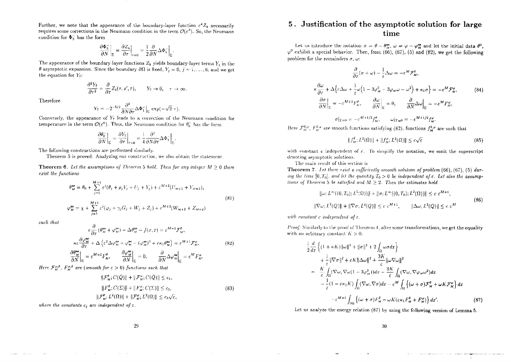Further, we note that the appearance of the boundary-layer function  $\varepsilon^4 Z_4$  necessarily requires some corrections in the Neumann condition in the term  $\mathcal{O}(\varepsilon^3)$ . So, the Neumann condition for  $\Phi_2^-$  has the form

$$
\left. \frac{\partial \Phi_3^-}{\partial N} \right|_{\Sigma} = \left. \frac{\partial Z_4}{\partial \tau} \right|_{\tau=0} = \frac{1}{2} \frac{\partial}{\partial N} \Delta \Phi_1^- \Big|_{\Sigma}.
$$

The appearance of the boundary-layer functions  $Z_k$  yields boundary-layer terms  $Y_i$  in the *0* asymptotic expansion. Since the boundary  $\partial\Omega$  is fixed,  $Y_j = 0$ ,  $j = 1, \ldots, 6$ , and we get the equation for *Y?:*

$$
\frac{\partial^2 Y_7}{\partial \tau^2} = \frac{\partial}{\partial r} Z_4(\tau, x', \tau), \qquad Y_7 \to 0, \quad \tau \to \infty.
$$

Therefore

$$
Y_7 = -2^{-5/2} \frac{\partial^2}{\partial N \partial \tau} \Delta \Phi_1^- \Big|_{\Sigma} \exp(-\sqrt{2} \tau)
$$

Conversely, the appearance of *Y7* leads to a correction of the Neumann condition for temperature in the term  $\mathcal{O}(\varepsilon^6)$ . Thus, the Neumann condition for  $\theta_6^-$  has the form

$$
\left. \frac{\partial \theta_6^-}{\partial N} \right|_{\Sigma} = \left. \frac{\partial Y_7}{\partial \tau} \right|_{\tau=0} = \frac{1}{4} \frac{\partial^2}{\partial N \partial \tau} \Delta \Phi_1^-\Big|_{\Sigma}
$$

The following constructions are performed similarly.

 $\sim$ 

Theorem 5 is proved. Analyzing our construction, we also obtain the statement.

**Theorem 6.** Let the assumptions of Theorem 5 hold. Then for any integer  $M \geq 0$  there *exist the. functions*

$$
\theta_M^{\text{as}} = \theta_0 + \sum_{j=1}^{M+1} \varepsilon^j (\theta_j + \rho_j V_j + U_j + Y_j) + \varepsilon^{M+2} (U_{M+2} + Y_{M+2}),
$$
\n
$$
\varphi_M^{\text{as}} = \chi + \sum_{j=1}^{M+1} \varepsilon^j (\varphi_j + \gamma_j G_j + W_j + Z_j) + \varepsilon^{M+2} (W_{M+2} + Z_{M+2})
$$
\n(81)

such that

$$
\varepsilon \frac{\partial}{\partial r} (\theta_M^{\text{ss}} + \varphi_M^{\text{ss}}) - \Delta \theta_M^{\text{ss}} - f(r, r) = \varepsilon^{M+1} \mathcal{F}_M^{\theta},
$$
\n
$$
\kappa \varepsilon \frac{\partial \varphi_M^{\text{ss}}}{\partial r} + \Delta \left( \varepsilon^2 \Delta \varphi_M^{\text{ss}} + \varphi_M^{\text{ss}} - (\varphi_M^{\text{ss}})^3 + \varepsilon \kappa_1 \theta_M^{\text{ss}} \right) = \varepsilon^{M+1} \mathcal{F}_M^{\varphi},
$$
\n
$$
\frac{\partial \theta_M^{\text{ss}}}{\partial N} \bigg|_{\Sigma} = \varepsilon^{M+2} F_M^{\theta}, \qquad \frac{\partial \varphi_M^{\text{ss}}}{\partial N} \bigg|_{\Sigma} = 0, \qquad \frac{\partial}{\partial N} \Delta \varphi_M^{\text{ss}} \bigg|_{\Sigma} = \varepsilon^M F_M^{\varphi}.
$$
\n(82)

*Here*  $\mathcal{F}_{\mathcal{M}}^{\varphi,\theta}$ ,  $F_{\mathcal{M}}^{\varphi,\theta}$  are (smooth for  $\varepsilon > 0$ ) functions such that

$$
\|\mathcal{F}_{M}^{\theta}, C(Q)\| + \|\mathcal{F}_{M}^{\varphi}, C(Q)\| \le c_{1},
$$
  
\n
$$
\|F_{M}^{\theta}, C(\Sigma)\| + \|F_{M}^{\varphi}, C(\Sigma)\| \le c_{2},
$$
  
\n
$$
\|\mathcal{F}_{M}^{\theta}, L^{2}(\Omega)\| + \|\mathcal{F}_{M}^{\varphi}, L^{2}(\Omega)\| \le c_{3}\sqrt{\varepsilon},
$$
\n(83)

where the constants  $c_i$  are independent of  $\varepsilon$ .

 $\sim$ 

# 5 . Justification of the asymptotic solution for large time

Let us introduce the notation  $\sigma = \theta - \theta_M^{ss}$ ,  $\omega = \varphi - \varphi_M^{ss}$  and let the initial data  $\theta^0$ ,  $\varphi^0$  exhibit a special behavior. Then, from (66), (67), (5) and (82), we get the following problem for the remainders  $\sigma$ ,  $\omega$ .

$$
\frac{\partial}{\partial r}(\sigma + \omega) - \frac{1}{\varepsilon} \Delta \omega = -\varepsilon^M \mathcal{F}_M^{\theta},
$$
\n
$$
\kappa \frac{\partial \omega}{\partial r} + \Delta \Big\{ \varepsilon \Delta \omega + \frac{1}{\varepsilon} \omega \Big( 1 - 3\varphi_M^2 - 3\varphi_M \omega - \omega^2 \Big) + \kappa_1 \sigma \Big\} = -\varepsilon^M \mathcal{F}_M^{\rho}, \qquad (84)
$$
\n
$$
\frac{\partial \sigma}{\partial N} \Big|_{\Sigma} = -\varepsilon^{M+2} F_M^{\theta}, \qquad \frac{\partial \omega}{\partial N} \Big|_{\Sigma} = 0, \qquad \frac{\partial}{\partial N} \Delta \omega \Big|_{\Sigma} = -\varepsilon^M F_M^{\varphi},
$$
\n
$$
\sigma |_{T=0} = -\varepsilon^{M+1/2} f_M^{\theta}, \qquad \omega |_{T=0} = -\varepsilon^{M+1/2} f_M^{\varphi}.
$$

Here  ${\cal F}^{\theta,\varphi}_M$ ,  $F^{\theta,\varphi}_M$  are smooth functions satisfying (82), functions  $f^{\theta,\varphi}_M$  are such that

$$
||f_M^{\theta}; L^2(\Omega)|| + ||f_M^{\varphi}; L^2(\Omega)|| \le c\sqrt{\varepsilon}
$$
\n(85)

with constant c independent of  $\varepsilon$ . To simplify the notation, we omit the superscript denoting asymptotic solutions.

The main result of this section is

Theorem 7. Let there exist a sufficiently smooth solution of problem (66), (67), (5) dur*ing the time*  $[0, T_0]$ *, and let the quantity*  $T_0 > 0$  *be independent of*  $\varepsilon$ *. Let also the assumptions of Theorem 5 be satisfied and*  $M \geq 2$ *. Then the estimates hold* 

$$
\|\omega; L^{\infty}((0, T_0); L^2(\Omega))\| + \|\sigma; L^{\infty}((0, T_0); L^2(\Omega))\| \le c \, \varepsilon^{M+1},
$$
  

$$
\|\nabla\omega; L^2(Q)\| + \|\nabla\sigma; L^2(Q)\| \le c \, \varepsilon^{M+1}, \qquad \|\Delta\omega; L^2(Q)\| \le c \, \varepsilon^M
$$
 (86)

*with constant c independent of s.*

*Proof.* Similarly to the proof of Theorem 4. after some transformations, we get the equality with an arbitrary constant  $K > 0$ :

$$
\frac{1}{2}\frac{d}{d\tau}\left\{(1+\kappa K)\|\omega\|^2+\|\sigma\|^2+2\int_{\Omega}\omega\sigma dx\right\}\n+\frac{1}{\varepsilon}\|\nabla\sigma\|^2+\varepsilon K\|\Delta\omega\|^2+\frac{3K}{\varepsilon}\|\omega\nabla\omega\|^2\n=\frac{K}{\varepsilon}\int_{\Omega}(\nabla\omega,\nabla\omega(1-3\varphi_M^2))dx-\frac{3K}{\varepsilon}\int_{\Omega}(\nabla\omega,\nabla\varphi_M\omega^2)dx\n-\frac{1}{\varepsilon}(1-\varepsilon\kappa_1 K)\int_{\Omega}(\nabla\omega,\nabla\sigma)dx-\varepsilon^M\int_{\Omega}\left\{(\omega+\sigma)\mathcal{F}_M^{\theta}+\omega K\mathcal{F}_M^{\varphi}\right\}dx\n-\varepsilon^{M+1}\int_{\partial\Omega}\left\{(\omega+\sigma)F_M^{\theta}-\omega K(\varepsilon\kappa_1 F_M^{\theta}+F_M^{\varphi})\right\}dx'.\n\tag{87}
$$

Let us analyze the energy relation (87) by using the **following version** of **Lemma** 5.

29

 $\sim 10^{-1}$  km  $^{-1}$ 

30

the continuing committee of the com-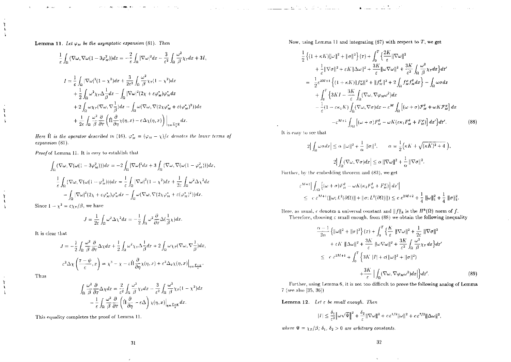**Lemma 11.** Let  $\varphi_M$  be the asymptotic expansion (81). Then

$$
\frac{1}{\varepsilon} \int_{\Omega} (\nabla \omega, \nabla \omega (1 - 3\varphi_M^2)) dx = -\frac{2}{\varepsilon} \int_{\Omega} |\nabla \omega|^2 dx - \frac{3}{\varepsilon^2} \int_{\Omega} \frac{\omega^2}{\beta} \chi_{\tau} dx + 3I,
$$
\n
$$
I = \frac{1}{\varepsilon} \int_{\Omega} |\nabla \omega|^2 (1 - \chi^2) dx + \frac{3}{2\varepsilon^2} \int_{\Omega} \frac{\omega^2}{\beta} \chi_{\tau} (1 - \chi^2) dx
$$
\n
$$
+ \frac{1}{2} \int_{\Omega} \omega^2 \chi_{\tau} \Delta \frac{1}{\beta} dx - \int_{\Omega} |\nabla \omega|^2 (2\chi + \varepsilon \varphi_M^*) \varphi_M^* dx
$$
\n
$$
+ 2 \int_{\Omega} \omega \chi_{\tau} (\nabla \omega, \nabla \frac{1}{\beta}) dx - \int_{\Omega} \omega (\nabla \omega, \nabla (2\chi \varphi_M^* + \varepsilon (\varphi_M^*)) dx
$$
\n
$$
+ \frac{1}{2\varepsilon} \int_{\Omega} \frac{\omega^2}{\beta} \frac{\partial}{\partial r} \left( \prod_{l=1}^{\infty} \frac{\partial}{\partial \eta} \chi(\eta, x) - \varepsilon \Delta \chi(\eta, x) \right) \Big|_{\eta = \frac{T - \nu}{\varepsilon}} dx.
$$

Here  $\hat{\Pi}$  is the operator described in (16),  $\varphi_M^* = (\varphi_M - \chi)/\varepsilon$  denotes the lower terms of *expansion* (81).

*Proof of* Lemma 11. It is easy to establish that

$$
\int_{\Omega} (\nabla \omega, \nabla (\omega (1 - 3\varphi_M^2))) dx = -2 \int_{\Omega} |\nabla \omega|^2 dx + 3 \int_{\Omega} (\nabla \omega, \nabla (\omega (1 - \varphi_M^2))) dx,
$$
  

$$
\frac{1}{\varepsilon} \int_{\Omega} (\nabla \omega, \nabla (\omega (1 - \varphi_M^2))) dx = \frac{1}{\varepsilon} \int_{\Omega} |\nabla \omega|^2 (1 - \chi^2) dx + \frac{1}{2\varepsilon} \int_{\Omega} \omega^2 \Delta \chi^2 dx
$$
  

$$
- \int_{\Omega} |\nabla \omega|^2 (2\chi + \varepsilon \varphi_M^*) \varphi_M^* dx - \int_{\Omega} \omega (\nabla \omega, \nabla (2\chi \varphi_M^* + \varepsilon (\varphi_M^*)^2)) dx.
$$

Since  $1 - \chi^2 = \epsilon \chi_T / \beta$ , we have

 $J = \frac{1}{2\varepsilon} \int_{\Omega} \omega^2 \Delta \chi^2 dx = -\frac{1}{2} \int_{\Omega} \omega^2 \frac{\partial}{\partial r} \Delta (\frac{1}{\beta} \chi)$ 

It is clear that

$$
J = -\frac{1}{2} \int_{\Omega} \frac{\omega^2}{\beta} \frac{\partial}{\partial \tau} \Delta \chi dx + \frac{1}{2} \int_{\Omega} \omega^2 \chi_T \Delta \frac{1}{\beta} dx + 2 \int_{\Omega} \omega \chi_T (\nabla \omega, \nabla \frac{1}{\beta}) dx,
$$
  

$$
\varepsilon^2 \Delta \chi \left( \frac{T - \psi}{\varepsilon}, x \right) = \chi^3 - \chi - \varepsilon \hat{\Pi} \frac{\partial}{\partial \eta} \chi(\eta, x) + \varepsilon^2 \Delta_x \chi(\eta, x) \Big|_{\eta = \frac{T - \psi}{\varepsilon}}.
$$

Thus

 $\mathbf{Y}$ À.

À  $\Lambda$ 

ौं  $\frac{1}{4}$ 

> À Ä

$$
\int_{\Omega} \frac{\omega^2}{\beta} \frac{\partial}{\partial r} \Delta \chi dx = \frac{2}{\varepsilon^2} \int_{\Omega} \frac{\omega^2}{\beta} \chi_r dx - \frac{3}{\varepsilon^2} \int_{\Omega} \frac{\omega^2}{\beta} \chi_r (1 - \chi^2) dx
$$

$$
- \frac{1}{\varepsilon} \int_{\Omega} \frac{\omega^2}{\beta} \frac{\partial}{\partial r} \left( \hat{\Pi} \frac{\partial}{\partial \eta} - \varepsilon \Delta \right) \chi(\eta, x) \Big|_{\eta = \frac{T - \psi}{\varepsilon}} dx.
$$

This equality completes the proof of Lemma 11.

Now, using Lemma, 11 and integrating (87) with respect to *T,* we get

 $\bullet$  -mass on the first

$$
\frac{1}{2}\left\{(1+\kappa K)\|\omega\|^2+\|\sigma\|^2\right\}(r)+\int_0^T\left\{\frac{2K}{\varepsilon}\|\nabla\omega\|^2+\frac{1}{\varepsilon^2}\|\nabla\omega\|^2+\frac{1}{\varepsilon}\|\nabla\sigma\|^2+\varepsilon K\|\Delta\omega\|^2+\frac{3K}{\varepsilon}\|\omega\nabla\omega\|^2+\frac{3K}{\varepsilon^2}\int_\Omega\frac{\omega^2}{\beta}\chi_T dx\right\}dr'
$$
\n
$$
=\frac{1}{2}\varepsilon^{2M+1}\left\{(1+\kappa K)\|f^o_M\|^2+\|f^{\theta}_M\|^2+2\int_\Omega f^o_M f^{\theta}_M dx\right\}-\int_\Omega\omega\sigma dx
$$
\n
$$
+\int_0^T\left\{3KI-\frac{3K}{\varepsilon}\int_\Omega(\nabla\omega,\nabla\varphi_M\omega^2)dx
$$
\n
$$
-\frac{1}{\varepsilon}(1-\varepsilon\kappa_1 K)\int_\Omega(\nabla\omega,\nabla\sigma)dx-\varepsilon^M\int_\Omega\left[(\omega+\sigma)\mathcal{F}^{\theta}_M+\omega K\mathcal{F}^{\phi}_M\right]dx
$$
\n
$$
-\varepsilon^{M+1}\int_{\partial\Omega}\left[(\omega+\sigma)F^{\theta}_M-\omega K(\varepsilon\kappa_1 F^{\theta}_M+F^{\phi}_M)\right]dx'\right\}dr'.
$$
\n(88)

[I. is easy to see that

<u> International de la provincia de la constancia de la provincia de la provincia de la provincia de la provincia</u>

$$
2\Big|\int_{\Omega}\omega\sigma dx\Big|\leq\alpha\,\|\omega\|^2+\frac{1}{\alpha}\,\|\sigma\|^2,\qquad\alpha=\frac{1}{2}\Big(\kappa K+\sqrt{(\kappa K)^2+4}\,\Big),
$$
  

$$
2\Big|\int_{\Omega}(\nabla\omega,\nabla\sigma)dx\Big|\leq\alpha\,\|\nabla\omega\|^2+\frac{1}{\alpha}\,\|\nabla\sigma\|^2.
$$

l'urther, by the embedding theorem and (83), we get

$$
\varepsilon^{M+1} \Big| \int_{\partial\Omega} \left[ (\omega + \sigma) F_M^{\theta} - \omega K (\kappa_2 F_M^{\theta} + F_M^{\varphi}) \right] dx' \Big|
$$
  
\n
$$
\leq c \varepsilon^{M+1} (\|\omega; L^2(\partial\Omega)\| + \|\sigma; L^2(\partial\Omega)\|) \leq c \varepsilon^{2M+2} + \frac{1}{4} \|\omega\|_1^2 + \frac{1}{4} \|\sigma\|_1^2.
$$

Here, as usual,  $c$  denotes a universal constant and  $\|f\|_k$  is the  $H^k(\Omega)$  norm of  $f.$ Therefore, choosing  $\varepsilon$  small enough, from (88) we obtain the following inequality

$$
\frac{\alpha - 1}{2\alpha} \left\{ ||\omega||^2 + ||\sigma||^2 \right\} (r) + \int_0^T \left\{ \frac{K}{\varepsilon} ||\nabla \omega||^2 + \frac{1}{2\varepsilon} ||\nabla \sigma||^2 \right\} \n+ \varepsilon K ||\Delta \omega||^2 + \frac{3K}{\varepsilon} ||\omega \nabla \omega||^2 + \frac{3K}{\varepsilon^2} \int_\Omega \frac{\omega^2}{\beta} \chi_r \, dx \right\} dr' \n\leq c \varepsilon^{2M+1} + \int_0^T \left\{ 3K ||I| + c(||\omega||^2 + ||\sigma||^2) \right\} \n+ \frac{3K}{\varepsilon} \left| \int_\Omega (\nabla \omega, \nabla \varphi_M \omega^2) dx \right| \right\} dr'.
$$
\n(89)

Further, using Lemma 6, it is not too difficult to prove the following analog of Lemma 7 (see also [35, 36])

Lemma 12. Let  $\varepsilon$  be small enough. Then

$$
|I| \leq \frac{\delta_1}{\varepsilon^2} \left\| \omega \sqrt{\Psi} \right\|^2 + \frac{\delta_2}{\varepsilon} \|\nabla \omega\|^2 + c \varepsilon^{1/2} \|\omega\|^2 + c \varepsilon^{7/2} \|\Delta \omega\|^2,
$$

where  $\Psi = \chi_T/\beta$ ;  $\delta_1$ ,  $\delta_2 > 0$  are arbitrary constants,

 $\mathbf{v}$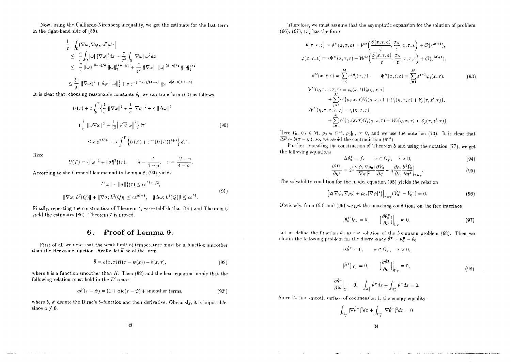Now, using the Galliardo-Nirenberg inequality, we get the estimate for the last term in the right-hand side of (89).

$$
\frac{1}{\varepsilon} \left| \int_{\Omega} (\nabla \omega, \nabla \varphi_M \omega^2) dx \right|
$$
\n
$$
\leq \frac{c}{\varepsilon} \int_{\Omega} |\omega| |\nabla \omega|^2 dx + \frac{c}{\varepsilon^2} \int_{\Omega} |\nabla \omega| |\omega^2 dx
$$
\n
$$
\leq \frac{c}{\varepsilon} ||\omega||^{(8-n)/4} ||\omega||_2^{(4+n)/4} + \frac{c}{\varepsilon^2} ||\nabla \omega|| ||\omega||^{(8-n)/4} ||\omega||_2^{7/4}
$$
\n
$$
\leq \frac{\delta_3}{\varepsilon} ||\nabla \omega||^2 + \delta_4 \varepsilon ||\omega||_2^2 + c \varepsilon^{-(12+n)/(4-n)} ||\omega||^{2(8-n)/(4-n)}.
$$

It is clear that, choosing reasonable constants  $\delta_i$ , we can transform (63) as follows

$$
U(\tau) + c \int_0^T \left\{ \frac{1}{\varepsilon} \|\nabla \omega\|^2 + \frac{1}{\varepsilon} \|\nabla \sigma\|^2 + \varepsilon \|\Delta \omega\|^2 \right.
$$
  

$$
+ \frac{1}{\varepsilon} \|\omega \nabla \omega\|^2 + \frac{1}{\varepsilon^2} \|\sqrt{\Psi} \,\omega\|^2 \right\} d\tau'
$$
  

$$
\leq c \, \varepsilon^{2M+1} + c \int_0^T \left\{ U(\tau') + \varepsilon^{-r} (U(\tau'))^{1+\lambda} \right\} d\tau'.
$$
  
(90)

Here

المنابي الشواعية فككارث

$$
U(T) = \{ ||\omega||^2 + ||\sigma||^2 \} (r), \qquad \lambda = \frac{4}{4-n}, \quad r = \frac{12+n}{4-n}.
$$

According to the Gronuoll lemma and to Lemma 8, (90) yields

$$
\{ \|\omega\| + \|\sigma\| \}(\tau) \leq c \varepsilon^{M+1/2},
$$
  

$$
\|\nabla \omega; L^2(Q)\| + \|\nabla \sigma; L^2(Q)\| \leq c \varepsilon^{M+1}, \quad \|\Delta \omega; L^2(Q)\| \leq c \varepsilon^M.
$$
 (91)

Finally, repeating the construction of Theorem 4, we establish that (91) and Theorem 6 yield the estimates (86). Theorem 7 is proved.

# 6 . Proof of Lemma 9.

First of all we note that the weak limit of temperature must be a function smoother than the Heaviside function. Really, let  $\vec{\theta}$  be of the form

$$
\overline{\theta} = a(x,\tau)H(\tau - \psi(x)) + b(x,\tau),\tag{92}
$$

where *b* is a function smoother than *H,* Then (92) and the heat equation imply that the following relation must hold in the  $D'$  sense

$$
a\delta'(T-\psi) = (1+a)\delta(T-\psi) + \text{smoother terms}, \qquad (92')
$$

where  $\delta$ ,  $\delta'$  denote the Dirac's  $\delta$ -function and their derivative. Obviously, it is impossible, since  $a \neq 0$ .

**33**

 $\mathcal{L}_{\text{max}}$  ,  $\mathcal{L}_{\text{max}}$ 

Therefore, we must assume that the asymptotic expansion for the solution of problem (66), (67), (5) has the form

$$
\theta(x, r, \varepsilon) = \vartheta^{M}(x, \tau, \varepsilon) + \mathcal{V}^{M}\left(\frac{S(x, r, \varepsilon)}{\varepsilon}, \frac{x_{N}}{\varepsilon}, x, r, \varepsilon\right) + \mathcal{O}(\varepsilon^{M+1}),
$$
  
\n
$$
\varphi(x, r, \varepsilon) = \varepsilon \Phi^{M}(x, r, \varepsilon) + \mathcal{W}^{M}\left(\frac{S(x, r, \varepsilon)}{\varepsilon}, \frac{x_{N}}{\varepsilon}, x, r, \varepsilon\right) + \mathcal{O}(\varepsilon^{M+1}),
$$
  
\n
$$
\vartheta^{M}(x, r, \varepsilon) = \sum_{j=0}^{M} \varepsilon^{j} \theta_{j}(x, \tau), \qquad \Phi^{M}(x, t, \varepsilon) = \sum_{j=1}^{M} \varepsilon^{j-1} \varphi_{j}(x, r),
$$
  
\n
$$
\mathcal{V}^{M}(\eta, r, x, r, \varepsilon) = \rho_{0}(x, t) V_{0}(\eta, x, r)
$$
  
\n
$$
+ \sum_{j=1}^{M} \varepsilon^{j} \{\rho_{j}(x, r) V_{j}(\eta, r, r) + U_{j}(\eta, x, \tau) + Y_{j}(\tau, x', r)\},
$$
  
\n
$$
\mathcal{W}^{M}(\eta, r, x, r, \varepsilon) = \chi(\eta, x, r)
$$
 (93)

$$
+\sum_{j=1}^M \varepsilon^j \{\gamma_j(x,\tau)G_j(\eta,x,\tau)+W_j(\eta,x,\tau)+Z_j(\tau,x',\tau)\}.
$$

Here  $V_0, U_1 \in \mathcal{H}, \ \rho_0 \in C^{\infty}, \ \rho_0|_{\Gamma_T} = 0$ , and we use the notation (73). It is clear that  $\overline{\Delta\theta} \sim \delta(\tau-\psi)$ , so, we avoid the contradiction (92').

Further, repeating the construction of Theorem 5 and using the notation (77), we get the following equations

$$
\Delta \theta_0^{\pm} = f, \qquad x \in \Omega_T^{\pm}, \quad \tau > 0,
$$
\n(94)

$$
\frac{\partial^2 \tilde{U}_1}{\partial \eta^2} = 2 \frac{(\nabla \psi, \nabla \rho_0)}{|\nabla \psi|^2} \frac{\partial \tilde{V}_0}{\partial \eta} - \eta \frac{\partial \rho_0}{\partial r} \frac{\partial^2 \tilde{V}_0}{\partial \eta^2}\Big|_{r=\psi},\tag{95}
$$

The solvability condition for the model equation (95) yields the relation

$$
\left(2(\nabla\psi,\nabla\rho_{0})+\rho_{0\tau}|\nabla\psi|^{2}\right)\Big|_{\tau=\psi}(\dot{V}_{0}^{+}-\dot{V}_{0}^{-})=0.
$$
\n(96)

Obviously, from *(9'3)* and (96) we get the matching conditions on the free interface

$$
[\theta_0^{\pm}]|_{\Gamma_T} = 0, \qquad \left[\frac{\partial \theta_0^{\pm}}{\partial \nu}\right]_{\Gamma_T} = 0. \tag{97}
$$

Let us define the function  $\theta_0$  as the solution of the Neumann problem (68). Then we obtain the following problem for the discrepancy  $\tilde{\theta}^{\pm} = \theta_{0}^{\pm} - \theta_{0}$ 

$$
\Delta \hat{\theta}^{\pm} = 0, \qquad x \in \Omega_{\tau}^{\pm}, \quad \tau > 0,
$$

$$
[\hat{\theta}^{\pm}]|_{\Gamma_T} = 0, \qquad \left[\frac{\partial \hat{\theta}^{\pm}}{\partial \nu}\right]|_{\Gamma_T} = 0,
$$
(98)

$$
\left. \frac{\partial \theta^{-}}{\partial N} \right|_{\Sigma} = 0, \quad \int_{\Omega_{\rm T}^+} \dot{\theta}^+ dx + \int_{\Omega_{\rm T}^-} \tilde{\theta}^- dx = 0.
$$

Since  $\Gamma<sub>T</sub>$  is a smooth surface of codimension 1, the energy equality

 $\sim$ 

 $\sim 100$  km s  $^{-1}$ 

$$
\int_{\Omega_T^+} |\nabla \tilde \theta^+|^2 dx + \int_{\Omega_T^-} |\nabla \tilde \theta^-|^2 dx = 0
$$

34

**Contract Contract** 

.<br>1992 - Jan James Barnett, amerikanischer Amerikaanse provincie en aan de provincie en aan de provincie en aan

 $\mathcal{A}^{\pm}$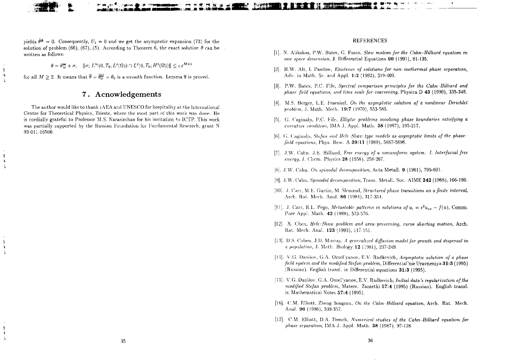

 $\mathbf{b}$ 

## $\theta=\theta_M^{\texttt{as}}+\sigma,\quad \|\sigma;\, L^\infty(0,T_0; L^2(\Omega))\cap L^2(0,T_0; H^1(\Omega))\|\leq c\,\varepsilon^{M+1}.$

for all  $M > 2$ . It means that  $\overline{\theta} = \overline{\theta_0^{as}} = \theta_0$  is a smooth function. Lemma 9 is proved.

# 7. Acnowledgements

The author would like to thank iAEA and UNESCO for hospitality at. the International Centre for Theoretical Physics, Trieste, where the most part of this work was done. He is cordially grateful to Professor M.S. Narasimhan for his invitation to ICTP. This work was partially supported by the Russian Foundation for Fundamental Research, grant N 93-011-16560.

#### **REFERENCES**

- [1], N. Alikakos, I'.VV. Bates, G. Fusco, *Slow motion for the Cahn-Hilliard equation in one space dimension,* J. Differential Equations 90 (1991), 81-135.
- [2]. H.W. Alt, 1. Pawlow, *Existence, of solutions for non-isothermal phase separation,* Adv. in Math. Sc. and Appl. **1:2** (1992), 319-409.
- [3]. P.W. Bates, P.C. Fife, *Spectral comparison principles for the Cahn-Hilliard and phase field equations, and time scale for coarsening,* Physica D 43 (1990), 335-348.
- [4]. M.S. Berger, L.E. Fraenkel, *On tht asymptotic solution of a nonlinear Dirichlet problem,* J. Math. Medi. **19:7** (1970), 553-585.
- [5]. (\_i. Caginalp, P.C. Fife. *Elliptic problems involving phase boundaries satisfying a curvature condition,* IMA J. Appl. Math. 38 (19S7), 195-217.
- [6]. G. Caginalp, *Stefan and Hele Shaw type models as asymptotic limits of the phasefield equations,* Phys. Hew. A **39:11** (1989), 5887-5896.
- [7], J.W. Cahn. J.E, Hilliard, *Free energy of a nonuniform system. I. Interfacial free energy,* .1. Chem. Physics 28 (1958), 258-267.
- **[8],** J.W. Calm. *On spinodal decomposition,* Acta Metall. 9 (1961), 795-801.
- [9]. J.W. Cahn. *Spinodnl decomposition,* Trans. Metall. Soc. A1ME **242** (1968), 166-180.
- [10]. J. Carr, M.E. Gurtin, M. Slemrod, *Structured phase transitions on a finite interval*, Arch. Hat. Merh. Anal. 86 (1984), 317-351
- [11]. J. Carr, R.L. Pego, *Metastable patterns in solutions of*  $u_t = \epsilon^2 u_{xx} f(u)$ , Comm. Pure Appl. Math. 42 (1989), 523-570.
- [12]. X. Chen, *Htlt-Shaw problem and area-preserving, curve shorting motion,* Arch. Rat. Mech. Anal. **123** (1993), 117-151.
- [13]. D.S. Cohen, J.D. Murray, *A generalized diffusion model for growth and dispersal in a population,* J. Math. Biology **12** (1981), 237-249.
- [l 1]. V'.C!. Dauilov, G.A. Omel'yanov, E.V. Radkevich, *Asymptotic solution of a phase field system and the modified Stefan problem, Differential'nie Uravneniya* 31:3 (1995) (Russian). English transl. in Differential equations **31:3** (1995).
- [15]. V.G. Danilov. G.A. Omel'yanov, E.V. Radkevich, *Initial data's regularization of the modified Stefan problem,* Matem. Zametki **57:4** (1995) (Russian). English transl. in Mathematical Notes **57:4** (1995).
- [16). CM. Elliott, Zheng Songmu, *On the Cahn-Hitliard equation,* Arch. Rat. Mech. Anal. 96 (1986), 339-357.
- [17]. CM. Elliott, D.A. French, *Numerical studies of the Cakn-Hilliard equation for phase separation,* IMA J. Appl. Math. 38 (1987), 97-128.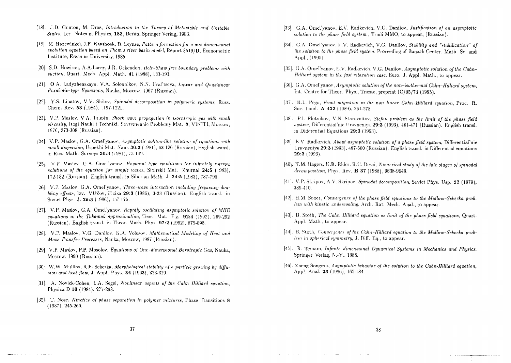- [18]. J.D. Gunton, M. Droz, *Introduction to the Theory of Metastable and Unstable. States,* Lee. Notes in Physics, **183,** Berlin, Springer Verlag, 1983.
- [19]. M. Hazewinkel, J.F. Kaashoek, B. Leynse, *Pattern formation for a one dimensional evolution equation bastd on Thorn's river basin model,* Report 8519/B, Econometric Institute, Erasmus University, 1985.
- [20]. S.D. Howison, A.A.Lacey, j.R. Ockendon, *Hek-Skaw free, boundary problems with suction.* Quart. *Wlech.* Appl. Math. 41 (1988), 183-193.
- [21]. O.A. Ladyzhenskaya, V.A. Solonnikov, N.N. Ural'tseva, *Linear and Quasilinear Parabolic-type Equations,* Nauka, Moscow, 1967 (Russian).
- [22]. Y.S. Lipatov, V.V. Shilov, *Spinodal decomposition in polymeric systems*, Russ. Chem. Rev. 53 (1984), 1197-1221.
- [23]. V.P. Maslov, V.A. Tsupin, *Shock wave propagation in isoentropic gas with small viscosity,* Itogi Nauki i Techniki: Sovremennic Problemy Mat. 8, V1NITI, Moscow, 1970,273-308 (Russian).
- [24]. V.P. Maslov, G.A. Omel'yanov, Asymptotic soliton-like solution of equations with *small dispersion,* Uspekhi Mat. Nauk 36:3 (1981), 63-126 (Russian), English transl, in Rus. Math. Surveys 36:3 (1981), 73-149.
- [25], V.P. Maslov, G.A. Omel'yanov, *Hugoniot-type. conditions for infinitely narrow solutions of the. equation for simple waves,* Sibirskii Mat. Zhurnal **24:5** (1983), 172-182 (Russian). English transl. in Siberian Math. J. **24:5** (1983), 787-793.
- [26]. V.P. Maslov, G.A. Omel'yanov, *Three-wavt interaction including frequency doubling effects,* lzv. VUZov, Fizika 29:3 (1986), 3-23 (Russian). English transl. in Soviet Phys. J. 29:3 (1986), 157-175.
- [27|. V.P. Maslov, G.A. Omel'yanov. *Rapidly oscillating asymptotic solution of MUD equations in the Tokamak approximation,* Teor. Mat. Fiz. **92:4** (1992), 269-292 (Russian). English transl. in Theor. Math. Phys. 92:2 (1992), 879-895.
- [28]. V.P. Maslov, V.G. Danilov, K-A. Volosov, *Mathematical Modeling of Heat and Mass Transfer Processes,* Nauka, Moscow, 1987 (Russian).
- [29]. V.P. Maslov, P.P. Mosolov, *Equations of One dimensional Barotropic Gas,* Nauka, Moscow, 1990 (Russian).
- [30]. W.W. Mullins, R.F. Sekerka, *Morphological stability of a particle growing by diffusion and heat flow,* J. Appl. Phys. 34 (1963), 323-329.
- [31]. A. Novick-Cohen, L.A. Segel, *Nonlinear aspects of the Cahn Hilliard equation*, Physica D 10 (1984), 277-298.
- [32]. T. Nose, *Kinetics of phase separation in polymer mixtures.* Phase Transitions 8 (1987), 245-260.
- [33]. G.A. Omel'yanov, E.V. Radkevich, V.G. Danilov, *Justification of an asymptotic solution to the phase field system* , Trudi MMO, to appear, (Russian).
- [34]. G.A. Oinel'yanov, E.V. Radkevich, V.G. Danilov, *Stability and "stabilization" of the solution to the phase field system.* Proceeding of Banach Center. Math. Sc. and Appl,, (1995).
- [35]. G.A. Omel'yanov, E.V. Radkevich, V.G. Danilov, Asymptotic solution of the Cahn-*Hiiliard system in the. fast relaxation case,* Euro. J. Appl. Math., to appear.
- [36]. G.A. Omel'yanov. Asymptotic solution of the non-isothermal Cahn-Hilliard sustem, Int. Centre for Theor. Phys., Trieste, preprint IC/95/73 (1995).
- [37]. R.L. Pego, *Front migration in the non-linear Cahn-Hilliard equation*, Proc. R. Soc. Lond. A 422 (1989), 261-278-
- [38]. P.I. Plotnikov, V.N. Starovoitov, *Stefan problem as the limit of the phase field system,* DifFerential'iiie Uravncniya **29:3** (1993), 461-471 (Russian). English transl. in Differential Equations 29:3 (1993).
- [39]. E.V. Radkevich, *About asymptotic solution of a phase field system,* Differential'me Uravncniya29:3 (1993), 487-500 (Russian). English transl. in Differential equations 29:3 (1993).
- [40j. T.M. Rogers, K.R. Elder, R.('. Desai, *Numerical study of the late stages of spinodal decomposition,* Phys. Rev. B 37 (1988), 9638-9649.
- [41]. V.P. Skripov, A.V. Skripov, *Spinodal decomposition,* Soviet Phys. Usp. 22 (1979), 389-410.
- [42]. H.M. Soner, *Convergence of the phase field equations to the Mullins-Sekerka problem with kinetic undercooling,* Arch. Rat. Mech. Anal., to appear,
- [43]. B. Stoth, *The Cahn Milliard equation as limit of the phase field equations,* Quart. Appl. Math., to appear.
- [44]. B. Stoth, *Convergence of the Cahn-Hilliard equation to the Mullins-Sekerka problem in spherical symmetry,* J. Diff. Eq., to appear.
- [45], R,. 'feniani, *Infinite-dimensional Dynamical Systems in Mechanics and Physics.* Springer Verlag, N.-Y., 1988.
- [46]. Zheng Songmu, *Asymptotic behavior of the solution to the Cahn-HiUiard equation,* Appl. Anal. 23(1986), 165-184.

 $\mathbf{r} = \mathbf{r}$ 

والمتحدث والمتاريخ والمتحدث